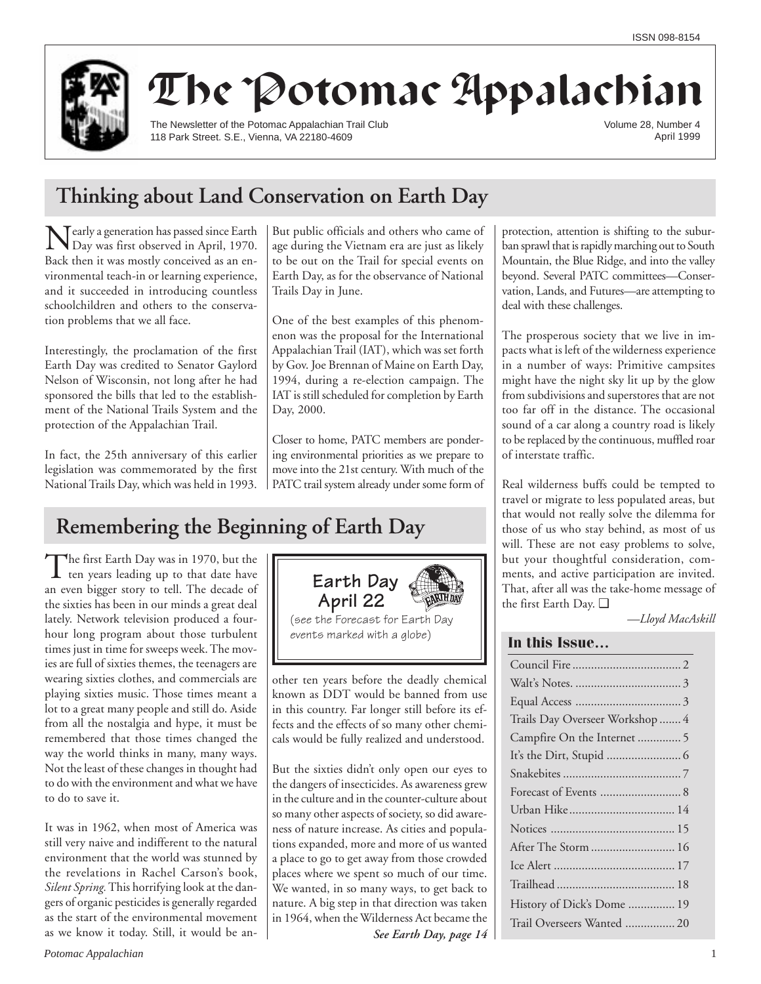

# The Potomac Appalachian

The Newsletter of the Potomac Appalachian Trail Club 118 Park Street. S.E., Vienna, VA 22180-4609

Volume 28, Number 4 April 1999

## **Thinking about Land Conservation on Earth Day**

Nearly a generation has passed since Earth Day was first observed in April, 1970. Back then it was mostly conceived as an environmental teach-in or learning experience, and it succeeded in introducing countless schoolchildren and others to the conservation problems that we all face.

Interestingly, the proclamation of the first Earth Day was credited to Senator Gaylord Nelson of Wisconsin, not long after he had sponsored the bills that led to the establishment of the National Trails System and the protection of the Appalachian Trail.

In fact, the 25th anniversary of this earlier legislation was commemorated by the first National Trails Day, which was held in 1993.

**Remembering the Beginning of Earth Day**

The first Earth Day was in 1970, but the<br>ten years leading up to that date have an even bigger story to tell. The decade of the sixties has been in our minds a great deal lately. Network television produced a fourhour long program about those turbulent times just in time for sweeps week. The movies are full of sixties themes, the teenagers are wearing sixties clothes, and commercials are playing sixties music. Those times meant a lot to a great many people and still do. Aside from all the nostalgia and hype, it must be remembered that those times changed the way the world thinks in many, many ways. Not the least of these changes in thought had to do with the environment and what we have to do to save it.

It was in 1962, when most of America was still very naive and indifferent to the natural environment that the world was stunned by the revelations in Rachel Carson's book, *Silent Spring.* This horrifying look at the dangers of organic pesticides is generally regarded as the start of the environmental movement as we know it today. Still, it would be an-

But public officials and others who came of age during the Vietnam era are just as likely to be out on the Trail for special events on Earth Day, as for the observance of National Trails Day in June.

One of the best examples of this phenomenon was the proposal for the International Appalachian Trail (IAT), which was set forth by Gov. Joe Brennan of Maine on Earth Day, 1994, during a re-election campaign. The IAT is still scheduled for completion by Earth Day, 2000.

Closer to home, PATC members are pondering environmental priorities as we prepare to move into the 21st century. With much of the PATC trail system already under some form of

other ten years before the deadly chemical known as DDT would be banned from use in this country. Far longer still before its effects and the effects of so many other chemicals would be fully realized and understood.

(see the Forecast for Earth Day events marked with a globe)

**Earth Day April 22**

But the sixties didn't only open our eyes to the dangers of insecticides. As awareness grew in the culture and in the counter-culture about so many other aspects of society, so did awareness of nature increase. As cities and populations expanded, more and more of us wanted a place to go to get away from those crowded places where we spent so much of our time. We wanted, in so many ways, to get back to nature. A big step in that direction was taken in 1964, when the Wilderness Act became the

*See Earth Day, page 14*

protection, attention is shifting to the suburban sprawl that is rapidly marching out to South Mountain, the Blue Ridge, and into the valley beyond. Several PATC committees—Conservation, Lands, and Futures—are attempting to deal with these challenges.

The prosperous society that we live in impacts what is left of the wilderness experience in a number of ways: Primitive campsites might have the night sky lit up by the glow from subdivisions and superstores that are not too far off in the distance. The occasional sound of a car along a country road is likely to be replaced by the continuous, muffled roar of interstate traffic.

Real wilderness buffs could be tempted to travel or migrate to less populated areas, but that would not really solve the dilemma for those of us who stay behind, as most of us will. These are not easy problems to solve, but your thoughtful consideration, comments, and active participation are invited. That, after all was the take-home message of the first Earth Day. ❑

*—Lloyd MacAskill*

### **In this Issue…**

| Trails Day Overseer Workshop  4 |
|---------------------------------|
| Campfire On the Internet  5     |
|                                 |
|                                 |
|                                 |
| Urban Hike 14                   |
|                                 |
|                                 |
|                                 |
|                                 |
| History of Dick's Dome  19      |
| Trail Overseers Wanted  20      |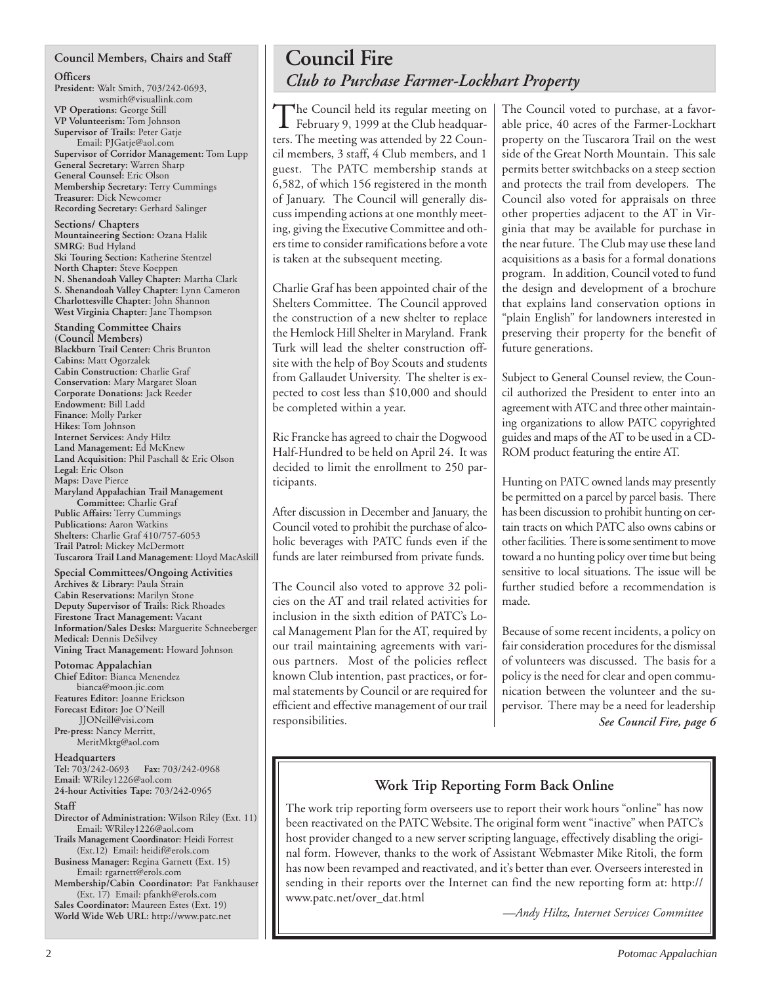#### **Council Members, Chairs and Staff**

#### **Officers**

**President:** Walt Smith, 703/242-0693, wsmith@visuallink.com **VP Operations:** George Still **VP Volunteerism:** Tom Johnson **Supervisor of Trails:** Peter Gatje Email: PJGatje@aol.com **Supervisor of Corridor Management:** Tom Lupp **General Secretary:** Warren Sharp **General Counsel:** Eric Olson **Membership Secretary:** Terry Cummings **Treasurer:** Dick Newcomer **Recording Secretary:** Gerhard Salinger

**Sections/ Chapters Mountaineering Section:** Ozana Halik **SMRG**: Bud Hyland **Ski Touring Section:** Katherine Stentzel **North Chapter:** Steve Koeppen **N. Shenandoah Valley Chapter:** Martha Clark **S. Shenandoah Valley Chapter:** Lynn Cameron **Charlottesville Chapter:** John Shannon **West Virginia Chapter:** Jane Thompson

**Standing Committee Chairs (Council Members) Blackburn Trail Center:** Chris Brunton **Cabins:** Matt Ogorzalek **Cabin Construction:** Charlie Graf **Conservation:** Mary Margaret Sloan **Corporate Donations:** Jack Reeder **Endowment:** Bill Ladd **Finance:** Molly Parker **Hikes:** Tom Johnson **Internet Services:** Andy Hiltz **Land Management:** Ed McKnew **Land Acquisition:** Phil Paschall & Eric Olson **Legal:** Eric Olson **Maps:** Dave Pierce **Maryland Appalachian Trail Management Committee:** Charlie Graf **Public Affairs:** Terry Cummings **Publications:** Aaron Watkins **Shelters:** Charlie Graf 410/757-6053

**Trail Patrol:** Mickey McDermott **Tuscarora Trail Land Management:** Lloyd MacAskill

**Special Committees/Ongoing Activities Archives & Library:** Paula Strain **Cabin Reservations:** Marilyn Stone **Deputy Supervisor of Trails:** Rick Rhoades **Firestone Tract Management:** Vacant **Information/Sales Desks:** Marguerite Schneeberger **Medical:** Dennis DeSilvey **Vining Tract Management:** Howard Johnson

#### **Potomac Appalachian**

**Chief Editor:** Bianca Menendez bianca@moon.jic.com **Features Editor:** Joanne Erickson **Forecast Editor:** Joe O'Neill JJONeill@visi.com **Pre-press:** Nancy Merritt, MeritMktg@aol.com

**Headquarters**

**Tel:** 703/242-0693 **Fax:** 703/242-0968 **Email:** WRiley1226@aol.com **24-hour Activities Tape:** 703/242-0965

#### **Staff**

**Director of Administration:** Wilson Riley (Ext. 11) Email: WRiley1226@aol.com

**Trails Management Coordinator:** Heidi Forrest (Ext.12) Email: heidif@erols.com **Business Manager:** Regina Garnett (Ext. 15)

Email: rgarnett@erols.com

**Membership/Cabin Coordinator:** Pat Fankhauser (Ext. 17) Email: pfankh@erols.com **Sales Coordinator:** Maureen Estes (Ext. 19) **World Wide Web URL:** http://www.patc.net

## **Council Fire** *Club to Purchase Farmer-Lockhart Property*

The Council held its regular meeting on<br>February 9, 1999 at the Club headquarters. The meeting was attended by 22 Council members, 3 staff, 4 Club members, and 1 guest. The PATC membership stands at 6,582, of which 156 registered in the month of January. The Council will generally discuss impending actions at one monthly meeting, giving the Executive Committee and others time to consider ramifications before a vote is taken at the subsequent meeting.

Charlie Graf has been appointed chair of the Shelters Committee. The Council approved the construction of a new shelter to replace the Hemlock Hill Shelter in Maryland. Frank Turk will lead the shelter construction offsite with the help of Boy Scouts and students from Gallaudet University. The shelter is expected to cost less than \$10,000 and should be completed within a year.

Ric Francke has agreed to chair the Dogwood Half-Hundred to be held on April 24. It was decided to limit the enrollment to 250 participants.

After discussion in December and January, the Council voted to prohibit the purchase of alcoholic beverages with PATC funds even if the funds are later reimbursed from private funds.

The Council also voted to approve 32 policies on the AT and trail related activities for inclusion in the sixth edition of PATC's Local Management Plan for the AT, required by our trail maintaining agreements with various partners. Most of the policies reflect known Club intention, past practices, or formal statements by Council or are required for efficient and effective management of our trail responsibilities.

The Council voted to purchase, at a favorable price, 40 acres of the Farmer-Lockhart property on the Tuscarora Trail on the west side of the Great North Mountain. This sale permits better switchbacks on a steep section and protects the trail from developers. The Council also voted for appraisals on three other properties adjacent to the AT in Virginia that may be available for purchase in the near future. The Club may use these land acquisitions as a basis for a formal donations program. In addition, Council voted to fund the design and development of a brochure that explains land conservation options in "plain English" for landowners interested in preserving their property for the benefit of future generations.

Subject to General Counsel review, the Council authorized the President to enter into an agreement with ATC and three other maintaining organizations to allow PATC copyrighted guides and maps of the AT to be used in a CD-ROM product featuring the entire AT.

Hunting on PATC owned lands may presently be permitted on a parcel by parcel basis. There has been discussion to prohibit hunting on certain tracts on which PATC also owns cabins or other facilities. There is some sentiment to move toward a no hunting policy over time but being sensitive to local situations. The issue will be further studied before a recommendation is made.

Because of some recent incidents, a policy on fair consideration procedures for the dismissal of volunteers was discussed. The basis for a policy is the need for clear and open communication between the volunteer and the supervisor. There may be a need for leadership *See Council Fire, page 6*

## **Work Trip Reporting Form Back Online**

The work trip reporting form overseers use to report their work hours "online" has now been reactivated on the PATC Website. The original form went "inactive" when PATC's host provider changed to a new server scripting language, effectively disabling the original form. However, thanks to the work of Assistant Webmaster Mike Ritoli, the form has now been revamped and reactivated, and it's better than ever. Overseers interested in sending in their reports over the Internet can find the new reporting form at: http:// www.patc.net/over\_dat.html

*—Andy Hiltz, Internet Services Committee*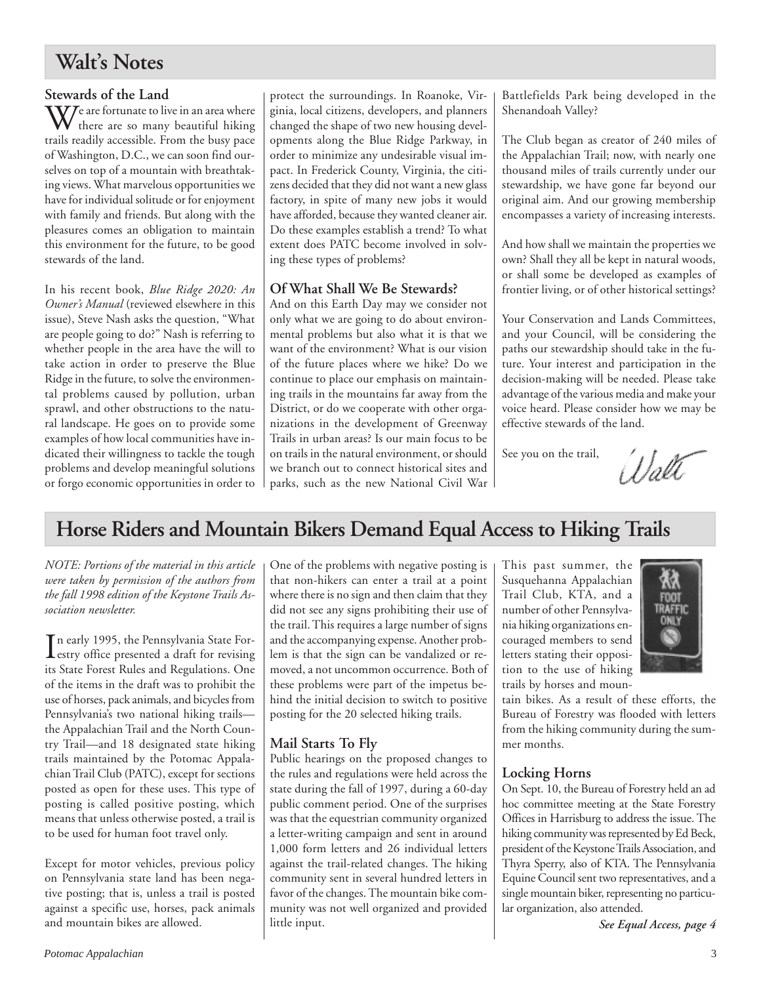## **Walt's Notes**

### **Stewards of the Land**

 $\mathbf{W}$ e are fortunate to live in an area where there are so many beautiful hiking trails readily accessible. From the busy pace of Washington, D.C., we can soon find ourselves on top of a mountain with breathtaking views. What marvelous opportunities we have for individual solitude or for enjoyment with family and friends. But along with the pleasures comes an obligation to maintain this environment for the future, to be good stewards of the land.

In his recent book, *Blue Ridge 2020: An Owner's Manual* (reviewed elsewhere in this issue), Steve Nash asks the question, "What are people going to do?" Nash is referring to whether people in the area have the will to take action in order to preserve the Blue Ridge in the future, to solve the environmental problems caused by pollution, urban sprawl, and other obstructions to the natural landscape. He goes on to provide some examples of how local communities have indicated their willingness to tackle the tough problems and develop meaningful solutions or forgo economic opportunities in order to

protect the surroundings. In Roanoke, Virginia, local citizens, developers, and planners changed the shape of two new housing developments along the Blue Ridge Parkway, in order to minimize any undesirable visual impact. In Frederick County, Virginia, the citizens decided that they did not want a new glass factory, in spite of many new jobs it would have afforded, because they wanted cleaner air. Do these examples establish a trend? To what extent does PATC become involved in solving these types of problems?

## **Of What Shall We Be Stewards?**

And on this Earth Day may we consider not only what we are going to do about environmental problems but also what it is that we want of the environment? What is our vision of the future places where we hike? Do we continue to place our emphasis on maintaining trails in the mountains far away from the District, or do we cooperate with other organizations in the development of Greenway Trails in urban areas? Is our main focus to be on trails in the natural environment, or should we branch out to connect historical sites and parks, such as the new National Civil War Battlefields Park being developed in the Shenandoah Valley?

The Club began as creator of 240 miles of the Appalachian Trail; now, with nearly one thousand miles of trails currently under our stewardship, we have gone far beyond our original aim. And our growing membership encompasses a variety of increasing interests.

And how shall we maintain the properties we own? Shall they all be kept in natural woods, or shall some be developed as examples of frontier living, or of other historical settings?

Your Conservation and Lands Committees, and your Council, will be considering the paths our stewardship should take in the future. Your interest and participation in the decision-making will be needed. Please take advantage of the various media and make your voice heard. Please consider how we may be effective stewards of the land.

See you on the trail,

Walt

## **Horse Riders and Mountain Bikers Demand Equal Access to Hiking Trails**

*NOTE: Portions of the material in this article were taken by permission of the authors from the fall 1998 edition of the Keystone Trails Association newsletter.*

In early 1995, the Pennsylvania State For-<br>
estry office presented a draft for revising<br>  $\frac{1}{2}$ estry office presented a draft for revising its State Forest Rules and Regulations. One of the items in the draft was to prohibit the use of horses, pack animals, and bicycles from Pennsylvania's two national hiking trails the Appalachian Trail and the North Country Trail—and 18 designated state hiking trails maintained by the Potomac Appalachian Trail Club (PATC), except for sections posted as open for these uses. This type of posting is called positive posting, which means that unless otherwise posted, a trail is to be used for human foot travel only.

Except for motor vehicles, previous policy on Pennsylvania state land has been negative posting; that is, unless a trail is posted against a specific use, horses, pack animals and mountain bikes are allowed.

One of the problems with negative posting is that non-hikers can enter a trail at a point where there is no sign and then claim that they did not see any signs prohibiting their use of the trail. This requires a large number of signs and the accompanying expense. Another problem is that the sign can be vandalized or removed, a not uncommon occurrence. Both of these problems were part of the impetus behind the initial decision to switch to positive posting for the 20 selected hiking trails.

## **Mail Starts To Fly**

Public hearings on the proposed changes to the rules and regulations were held across the state during the fall of 1997, during a 60-day public comment period. One of the surprises was that the equestrian community organized a letter-writing campaign and sent in around 1,000 form letters and 26 individual letters against the trail-related changes. The hiking community sent in several hundred letters in favor of the changes. The mountain bike community was not well organized and provided little input.

This past summer, the Susquehanna Appalachian Trail Club, KTA, and a number of other Pennsylvania hiking organizations encouraged members to send letters stating their opposition to the use of hiking trails by horses and moun-



tain bikes. As a result of these efforts, the Bureau of Forestry was flooded with letters from the hiking community during the summer months.

### **Locking Horns**

On Sept. 10, the Bureau of Forestry held an ad hoc committee meeting at the State Forestry Offices in Harrisburg to address the issue. The hiking community was represented by Ed Beck, president of the Keystone Trails Association, and Thyra Sperry, also of KTA. The Pennsylvania Equine Council sent two representatives, and a single mountain biker, representing no particular organization, also attended.

*See Equal Access, page 4*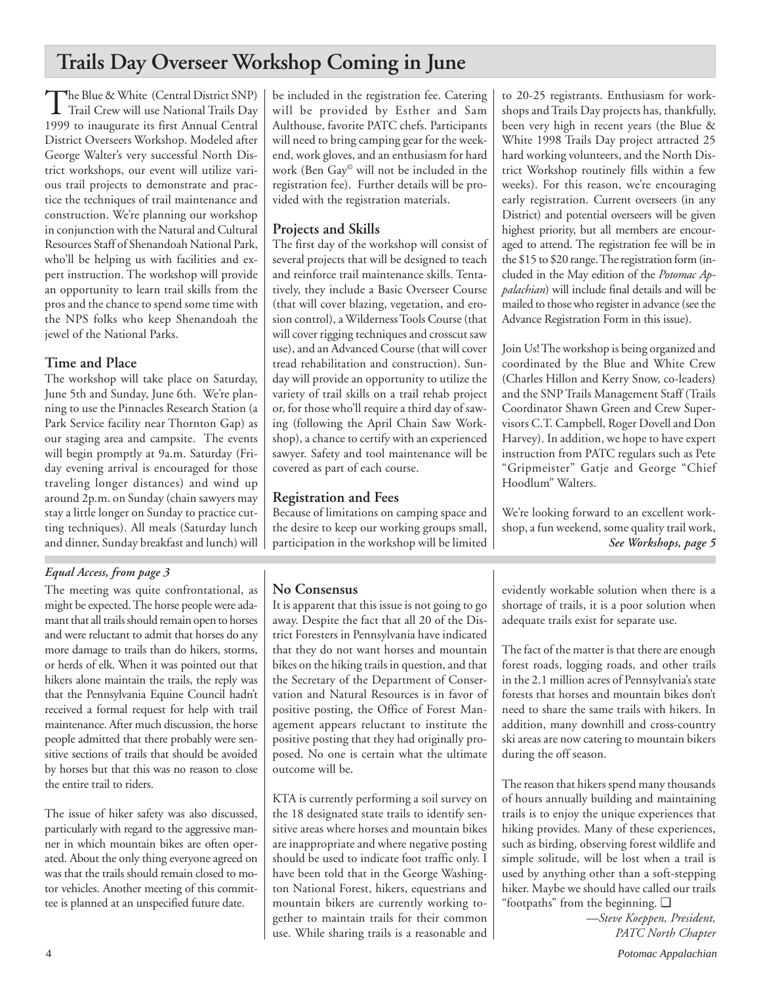## **Trails Day Overseer Workshop Coming in June**

The Blue & White (Central District SNP)<br>Trail Crew will use National Trails Day 1999 to inaugurate its first Annual Central District Overseers Workshop. Modeled after George Walter's very successful North District workshops, our event will utilize various trail projects to demonstrate and practice the techniques of trail maintenance and construction. We're planning our workshop in conjunction with the Natural and Cultural Resources Staff of Shenandoah National Park, who'll be helping us with facilities and expert instruction. The workshop will provide an opportunity to learn trail skills from the pros and the chance to spend some time with the NPS folks who keep Shenandoah the jewel of the National Parks.

## **Time and Place**

The workshop will take place on Saturday, June 5th and Sunday, June 6th. We're planning to use the Pinnacles Research Station (a Park Service facility near Thornton Gap) as our staging area and campsite. The events will begin promptly at 9a.m. Saturday (Friday evening arrival is encouraged for those traveling longer distances) and wind up around 2p.m. on Sunday (chain sawyers may stay a little longer on Sunday to practice cutting techniques). All meals (Saturday lunch and dinner, Sunday breakfast and lunch) will

## *Equal Access, from page 3*

The meeting was quite confrontational, as might be expected. The horse people were adamant that all trails should remain open to horses and were reluctant to admit that horses do any more damage to trails than do hikers, storms, or herds of elk. When it was pointed out that hikers alone maintain the trails, the reply was that the Pennsylvania Equine Council hadn't received a formal request for help with trail maintenance. After much discussion, the horse people admitted that there probably were sensitive sections of trails that should be avoided by horses but that this was no reason to close the entire trail to riders.

The issue of hiker safety was also discussed, particularly with regard to the aggressive manner in which mountain bikes are often operated. About the only thing everyone agreed on was that the trails should remain closed to motor vehicles. Another meeting of this committee is planned at an unspecified future date.

be included in the registration fee. Catering will be provided by Esther and Sam Aulthouse, favorite PATC chefs. Participants will need to bring camping gear for the weekend, work gloves, and an enthusiasm for hard work (Ben Gay© will not be included in the registration fee). Further details will be provided with the registration materials.

## **Projects and Skills**

The first day of the workshop will consist of several projects that will be designed to teach and reinforce trail maintenance skills. Tentatively, they include a Basic Overseer Course (that will cover blazing, vegetation, and erosion control), a Wilderness Tools Course (that will cover rigging techniques and crosscut saw use), and an Advanced Course (that will cover tread rehabilitation and construction). Sunday will provide an opportunity to utilize the variety of trail skills on a trail rehab project or, for those who'll require a third day of sawing (following the April Chain Saw Workshop), a chance to certify with an experienced sawyer. Safety and tool maintenance will be covered as part of each course.

## **Registration and Fees**

Because of limitations on camping space and the desire to keep our working groups small, participation in the workshop will be limited

## **No Consensus**

It is apparent that this issue is not going to go away. Despite the fact that all 20 of the District Foresters in Pennsylvania have indicated that they do not want horses and mountain bikes on the hiking trails in question, and that the Secretary of the Department of Conservation and Natural Resources is in favor of positive posting, the Office of Forest Management appears reluctant to institute the positive posting that they had originally proposed. No one is certain what the ultimate outcome will be.

KTA is currently performing a soil survey on the 18 designated state trails to identify sensitive areas where horses and mountain bikes are inappropriate and where negative posting should be used to indicate foot traffic only. I have been told that in the George Washington National Forest, hikers, equestrians and mountain bikers are currently working together to maintain trails for their common use. While sharing trails is a reasonable and to 20-25 registrants. Enthusiasm for workshops and Trails Day projects has, thankfully, been very high in recent years (the Blue & White 1998 Trails Day project attracted 25 hard working volunteers, and the North District Workshop routinely fills within a few weeks). For this reason, we're encouraging early registration. Current overseers (in any District) and potential overseers will be given highest priority, but all members are encouraged to attend. The registration fee will be in the \$15 to \$20 range. The registration form (included in the May edition of the *Potomac Appalachian*) will include final details and will be mailed to those who register in advance (see the Advance Registration Form in this issue).

Join Us! The workshop is being organized and coordinated by the Blue and White Crew (Charles Hillon and Kerry Snow, co-leaders) and the SNP Trails Management Staff (Trails Coordinator Shawn Green and Crew Supervisors C.T. Campbell, Roger Dovell and Don Harvey). In addition, we hope to have expert instruction from PATC regulars such as Pete "Gripmeister" Gatje and George "Chief Hoodlum" Walters.

We're looking forward to an excellent workshop, a fun weekend, some quality trail work, *See Workshops, page 5*

evidently workable solution when there is a shortage of trails, it is a poor solution when adequate trails exist for separate use.

The fact of the matter is that there are enough forest roads, logging roads, and other trails in the 2.1 million acres of Pennsylvania's state forests that horses and mountain bikes don't need to share the same trails with hikers. In addition, many downhill and cross-country ski areas are now catering to mountain bikers during the off season.

The reason that hikers spend many thousands of hours annually building and maintaining trails is to enjoy the unique experiences that hiking provides. Many of these experiences, such as birding, observing forest wildlife and simple solitude, will be lost when a trail is used by anything other than a soft-stepping hiker. Maybe we should have called our trails "footpaths" from the beginning. ❑

*—Steve Koeppen, President, PATC North Chapter*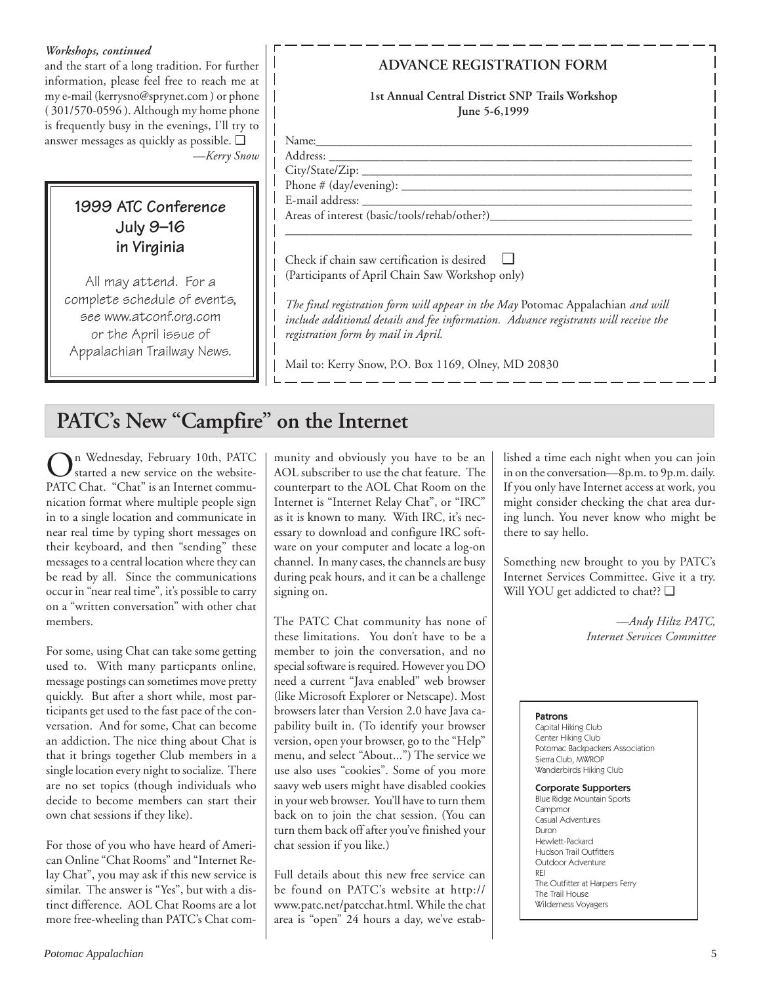### *Workshops, continued*

and the start of a long tradition. For further information, please feel free to reach me at my e-mail (kerrysno@sprynet.com ) or phone ( 301/570-0596 ). Although my home phone is frequently busy in the evenings, I'll try to answer messages as quickly as possible. ❑ *—Kerry Snow*

## **1999 ATC Conference July 9–16 in Virginia**

All may attend. For a complete schedule of events, see www.atconf.org.com or the April issue of Appalachian Trailway News.

## **ADVANCE REGISTRATION FORM**

**1st Annual Central District SNP Trails Workshop June 5-6,1999**

\_\_\_\_\_\_\_\_\_\_\_\_\_\_\_\_\_\_\_\_\_\_\_\_\_\_\_\_\_\_\_\_\_\_\_\_\_\_\_\_\_\_\_\_\_\_\_\_\_\_\_\_\_\_\_\_\_\_\_\_\_\_\_\_\_\_

| $\mathbb{N}^*$<br>$\sim$                |     |
|-----------------------------------------|-----|
| $\Lambda$ 1<br>________________________ | ___ |

City/State/Zip: Phone  $#$  (day/evening):  $\_\_$ 

E-mail address:

Areas of interest (basic/tools/rehab/other?)

Check if chain saw certification is desired ❑ (Participants of April Chain Saw Workshop only)

*The final registration form will appear in the May* Potomac Appalachian *and will include additional details and fee information. Advance registrants will receive the registration form by mail in April.*

Mail to: Kerry Snow, P.O. Box 1169, Olney, MD 20830

## **PATC's New "Campfire" on the Internet**

On Wednesday, February 10th, PATC started a new service on the website-PATC Chat. "Chat" is an Internet communication format where multiple people sign in to a single location and communicate in near real time by typing short messages on their keyboard, and then "sending" these messages to a central location where they can be read by all. Since the communications occur in "near real time", it's possible to carry on a "written conversation" with other chat members.

For some, using Chat can take some getting used to. With many particpants online, message postings can sometimes move pretty quickly. But after a short while, most participants get used to the fast pace of the conversation. And for some, Chat can become an addiction. The nice thing about Chat is that it brings together Club members in a single location every night to socialize. There are no set topics (though individuals who decide to become members can start their own chat sessions if they like).

For those of you who have heard of American Online "Chat Rooms" and "Internet Relay Chat", you may ask if this new service is similar. The answer is "Yes", but with a distinct difference. AOL Chat Rooms are a lot more free-wheeling than PATC's Chat community and obviously you have to be an AOL subscriber to use the chat feature. The counterpart to the AOL Chat Room on the Internet is "Internet Relay Chat", or "IRC" as it is known to many. With IRC, it's necessary to download and configure IRC software on your computer and locate a log-on channel. In many cases, the channels are busy during peak hours, and it can be a challenge signing on.

The PATC Chat community has none of these limitations. You don't have to be a member to join the conversation, and no special software is required. However you DO need a current "Java enabled" web browser (like Microsoft Explorer or Netscape). Most browsers later than Version 2.0 have Java capability built in. (To identify your browser version, open your browser, go to the "Help" menu, and select "About...") The service we use also uses "cookies". Some of you more saavy web users might have disabled cookies in your web browser. You'll have to turn them back on to join the chat session. (You can turn them back off after you've finished your chat session if you like.)

Full details about this new free service can be found on PATC's website at http:// www.patc.net/patcchat.html. While the chat area is "open" 24 hours a day, we've established a time each night when you can join in on the conversation—8p.m. to 9p.m. daily. If you only have Internet access at work, you might consider checking the chat area during lunch. You never know who might be there to say hello.

Something new brought to you by PATC's Internet Services Committee. Give it a try. Will YOU get addicted to chat?? □

> *—Andy Hiltz PATC, Internet Services Committee*

#### Patrons

Capital Hiking Club Center Hiking Club Potomac Backpackers Association Sierra Club, MWROP Wanderbirds Hiking Club

#### Corporate Supporters

Blue Ridge Mountain Sports Campmor Casual Adventures Duron Hewlett-Packard Hudson Trail Outfitters Outdoor Adventure REI The Outfitter at Harpers Ferry The Trail House Wilderness Voyagers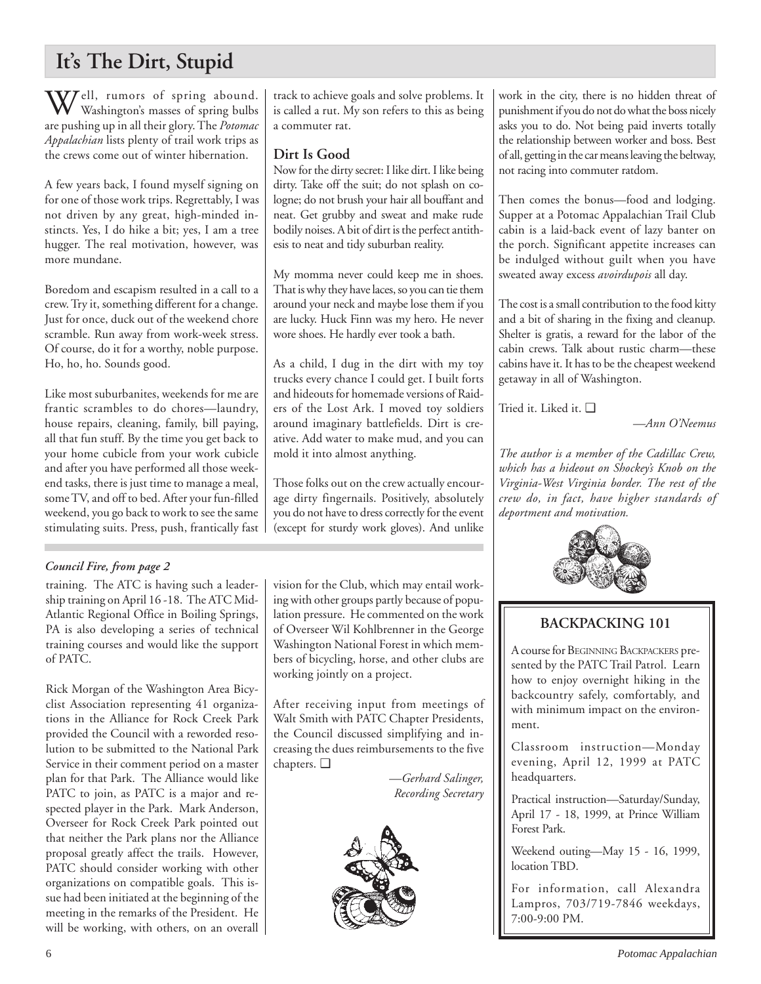## **It's The Dirt, Stupid**

 $\mathbf{W}^{\text{ell, rumors of spring about.}}$ Washington's masses of spring bulbs are pushing up in all their glory. The *Potomac Appalachian* lists plenty of trail work trips as the crews come out of winter hibernation.

A few years back, I found myself signing on for one of those work trips. Regrettably, I was not driven by any great, high-minded instincts. Yes, I do hike a bit; yes, I am a tree hugger. The real motivation, however, was more mundane.

Boredom and escapism resulted in a call to a crew. Try it, something different for a change. Just for once, duck out of the weekend chore scramble. Run away from work-week stress. Of course, do it for a worthy, noble purpose. Ho, ho, ho. Sounds good.

Like most suburbanites, weekends for me are frantic scrambles to do chores—laundry, house repairs, cleaning, family, bill paying, all that fun stuff. By the time you get back to your home cubicle from your work cubicle and after you have performed all those weekend tasks, there is just time to manage a meal, some TV, and off to bed. After your fun-filled weekend, you go back to work to see the same stimulating suits. Press, push, frantically fast

## *Council Fire, from page 2*

training. The ATC is having such a leadership training on April 16 -18. The ATC Mid-Atlantic Regional Office in Boiling Springs, PA is also developing a series of technical training courses and would like the support of PATC.

Rick Morgan of the Washington Area Bicyclist Association representing 41 organizations in the Alliance for Rock Creek Park provided the Council with a reworded resolution to be submitted to the National Park Service in their comment period on a master plan for that Park. The Alliance would like PATC to join, as PATC is a major and respected player in the Park. Mark Anderson, Overseer for Rock Creek Park pointed out that neither the Park plans nor the Alliance proposal greatly affect the trails. However, PATC should consider working with other organizations on compatible goals. This issue had been initiated at the beginning of the meeting in the remarks of the President. He will be working, with others, on an overall track to achieve goals and solve problems. It is called a rut. My son refers to this as being a commuter rat.

## **Dirt Is Good**

Now for the dirty secret: I like dirt. I like being dirty. Take off the suit; do not splash on cologne; do not brush your hair all bouffant and neat. Get grubby and sweat and make rude bodily noises. A bit of dirt is the perfect antithesis to neat and tidy suburban reality.

My momma never could keep me in shoes. That is why they have laces, so you can tie them around your neck and maybe lose them if you are lucky. Huck Finn was my hero. He never wore shoes. He hardly ever took a bath.

As a child, I dug in the dirt with my toy trucks every chance I could get. I built forts and hideouts for homemade versions of Raiders of the Lost Ark. I moved toy soldiers around imaginary battlefields. Dirt is creative. Add water to make mud, and you can mold it into almost anything.

Those folks out on the crew actually encourage dirty fingernails. Positively, absolutely you do not have to dress correctly for the event (except for sturdy work gloves). And unlike

vision for the Club, which may entail working with other groups partly because of population pressure. He commented on the work of Overseer Wil Kohlbrenner in the George Washington National Forest in which members of bicycling, horse, and other clubs are working jointly on a project.

After receiving input from meetings of Walt Smith with PATC Chapter Presidents, the Council discussed simplifying and increasing the dues reimbursements to the five chapters. ❑

*—Gerhard Salinger, Recording Secretary*



work in the city, there is no hidden threat of punishment if you do not do what the boss nicely asks you to do. Not being paid inverts totally the relationship between worker and boss. Best of all, getting in the car means leaving the beltway, not racing into commuter ratdom.

Then comes the bonus—food and lodging. Supper at a Potomac Appalachian Trail Club cabin is a laid-back event of lazy banter on the porch. Significant appetite increases can be indulged without guilt when you have sweated away excess *avoirdupois* all day.

The cost is a small contribution to the food kitty and a bit of sharing in the fixing and cleanup. Shelter is gratis, a reward for the labor of the cabin crews. Talk about rustic charm—these cabins have it. It has to be the cheapest weekend getaway in all of Washington.

Tried it. Liked it. ❑

*—Ann O'Neemus*

*The author is a member of the Cadillac Crew, which has a hideout on Shockey's Knob on the Virginia-West Virginia border. The rest of the crew do, in fact, have higher standards of deportment and motivation.*



## **BACKPACKING 101**

A course for BEGINNING BACKPACKERS presented by the PATC Trail Patrol. Learn how to enjoy overnight hiking in the backcountry safely, comfortably, and with minimum impact on the environment.

Classroom instruction—Monday evening, April 12, 1999 at PATC headquarters.

Practical instruction—Saturday/Sunday, April 17 - 18, 1999, at Prince William Forest Park.

Weekend outing—May 15 - 16, 1999, location TBD.

For information, call Alexandra Lampros, 703/719-7846 weekdays, 7:00-9:00 PM.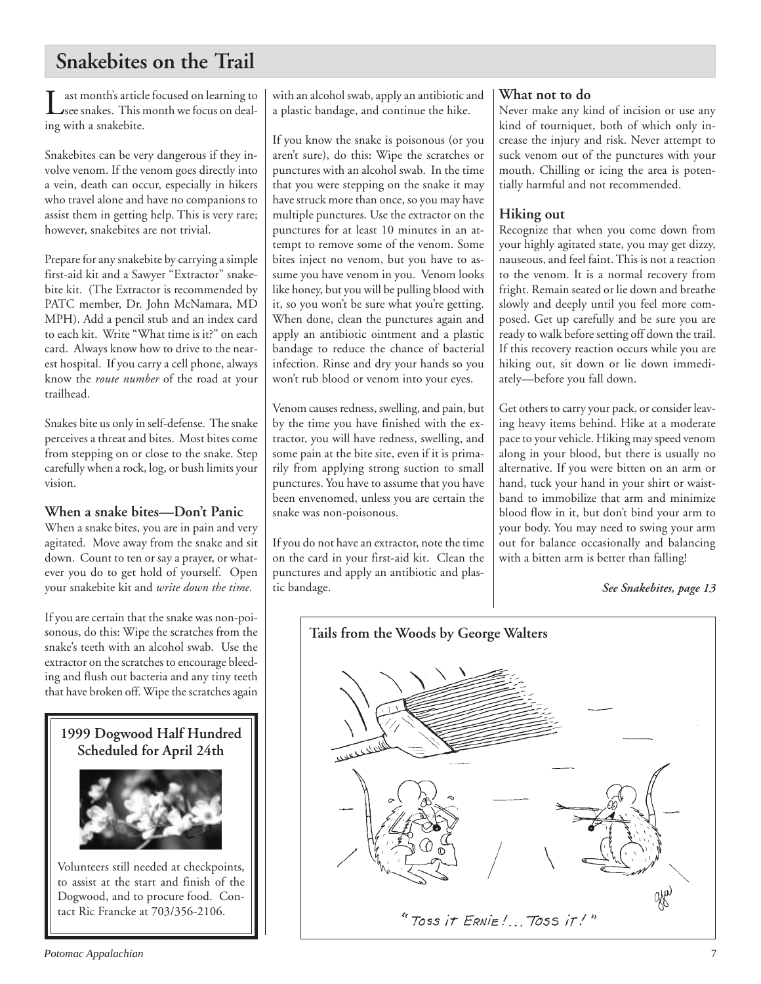## **Snakebites on the Trail**

ast month's article focused on learning to see snakes. This month we focus on dealing with a snakebite.

Snakebites can be very dangerous if they involve venom. If the venom goes directly into a vein, death can occur, especially in hikers who travel alone and have no companions to assist them in getting help. This is very rare; however, snakebites are not trivial.

Prepare for any snakebite by carrying a simple first-aid kit and a Sawyer "Extractor" snakebite kit. (The Extractor is recommended by PATC member, Dr. John McNamara, MD MPH). Add a pencil stub and an index card to each kit. Write "What time is it?" on each card. Always know how to drive to the nearest hospital. If you carry a cell phone, always know the *route number* of the road at your trailhead.

Snakes bite us only in self-defense. The snake perceives a threat and bites. Most bites come from stepping on or close to the snake. Step carefully when a rock, log, or bush limits your vision.

**When a snake bites—Don't Panic**

When a snake bites, you are in pain and very agitated. Move away from the snake and sit down. Count to ten or say a prayer, or whatever you do to get hold of yourself. Open your snakebite kit and *write down the time.*

If you are certain that the snake was non-poisonous, do this: Wipe the scratches from the snake's teeth with an alcohol swab. Use the extractor on the scratches to encourage bleeding and flush out bacteria and any tiny teeth that have broken off. Wipe the scratches again

**1999 Dogwood Half Hundred Scheduled for April 24th**



Volunteers still needed at checkpoints, to assist at the start and finish of the Dogwood, and to procure food. Contact Ric Francke at 703/356-2106.

with an alcohol swab, apply an antibiotic and a plastic bandage, and continue the hike.

If you know the snake is poisonous (or you aren't sure), do this: Wipe the scratches or punctures with an alcohol swab. In the time that you were stepping on the snake it may have struck more than once, so you may have multiple punctures. Use the extractor on the punctures for at least 10 minutes in an attempt to remove some of the venom. Some bites inject no venom, but you have to assume you have venom in you. Venom looks like honey, but you will be pulling blood with it, so you won't be sure what you're getting. When done, clean the punctures again and apply an antibiotic ointment and a plastic bandage to reduce the chance of bacterial infection. Rinse and dry your hands so you won't rub blood or venom into your eyes.

Venom causes redness, swelling, and pain, but by the time you have finished with the extractor, you will have redness, swelling, and some pain at the bite site, even if it is primarily from applying strong suction to small punctures. You have to assume that you have been envenomed, unless you are certain the snake was non-poisonous.

If you do not have an extractor, note the time on the card in your first-aid kit. Clean the punctures and apply an antibiotic and plastic bandage.

### **What not to do**

Never make any kind of incision or use any kind of tourniquet, both of which only increase the injury and risk. Never attempt to suck venom out of the punctures with your mouth. Chilling or icing the area is potentially harmful and not recommended.

## **Hiking out**

Recognize that when you come down from your highly agitated state, you may get dizzy, nauseous, and feel faint. This is not a reaction to the venom. It is a normal recovery from fright. Remain seated or lie down and breathe slowly and deeply until you feel more composed. Get up carefully and be sure you are ready to walk before setting off down the trail. If this recovery reaction occurs while you are hiking out, sit down or lie down immediately—before you fall down.

Get others to carry your pack, or consider leaving heavy items behind. Hike at a moderate pace to your vehicle. Hiking may speed venom along in your blood, but there is usually no alternative. If you were bitten on an arm or hand, tuck your hand in your shirt or waistband to immobilize that arm and minimize blood flow in it, but don't bind your arm to your body. You may need to swing your arm out for balance occasionally and balancing with a bitten arm is better than falling!

*See Snakebites, page 13*

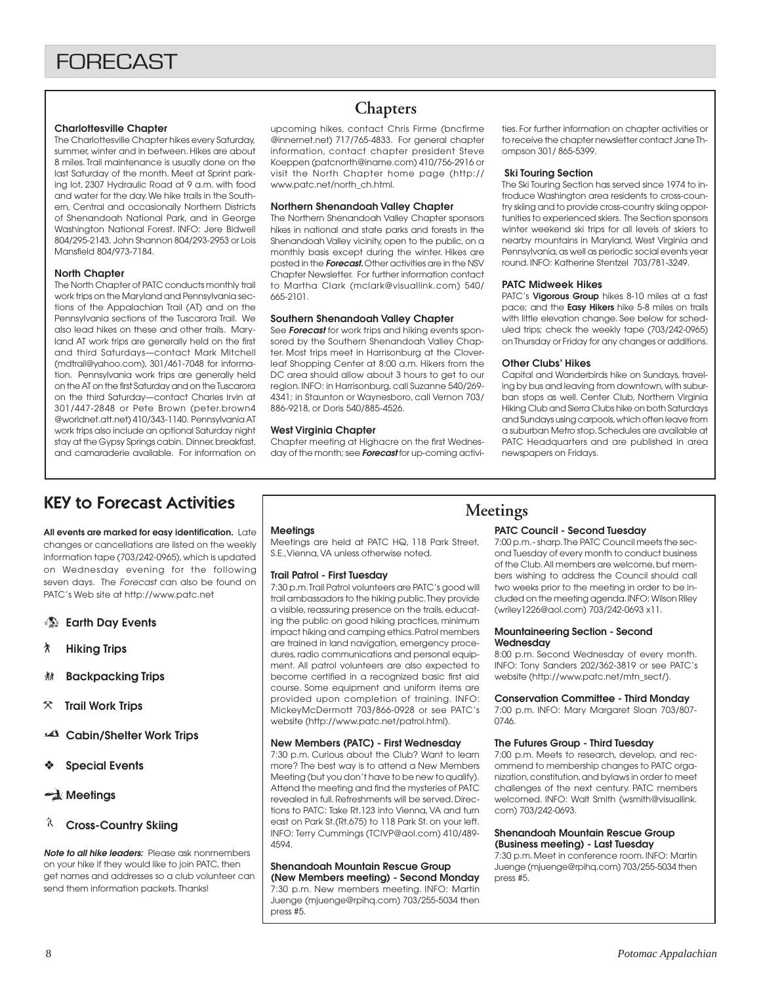#### **Charlottesville Chapter**

The Charlottesville Chapter hikes every Saturday, summer, winter and in between. Hikes are about 8 miles. Trail maintenance is usually done on the last Saturday of the month. Meet at Sprint parking lot, 2307 Hydraulic Road at 9 a.m. with food and water for the day. We hike trails in the Southern, Central and occasionally Northern Districts of Shenandoah National Park, and in George Washington National Forest. INFO: Jere Bidwell 804/295-2143, John Shannon 804/293-2953 or Lois Mansfield 804/973-7184.

#### **North Chapter**

The North Chapter of PATC conducts monthly trail work trips on the Maryland and Pennsylvania sections of the Appalachian Trail (AT) and on the Pennsylvania sections of the Tuscarora Trail. We also lead hikes on these and other trails. Maryland AT work trips are generally held on the first and third Saturdays—contact Mark Mitchell (mdtrail@yahoo.com), 301/461-7048 for information. Pennsylvania work trips are generally held on the AT on the first Saturday and on the Tuscarora on the third Saturday—contact Charles Irvin at 301/447-2848 or Pete Brown (peter.brown4 @worldnet.att.net) 410/343-1140. Pennsylvania AT work trips also include an optional Saturday night stay at the Gypsy Springs cabin. Dinner, breakfast, and camaraderie available. For information on

## **Chapters**

upcoming hikes, contact Chris Firme (bncfirme @innernet.net) 717/765-4833. For general chapter information, contact chapter president Steve Koeppen (patcnorth@iname.com) 410/756-2916 or visit the North Chapter home page (http:// www.patc.net/north\_ch.html.

#### **Northern Shenandoah Valley Chapter**

The Northern Shenandoah Valley Chapter sponsors hikes in national and state parks and forests in the Shenandoah Valley vicinity, open to the public, on a monthly basis except during the winter. Hikes are posted in the **Forecast.** Other activities are in the NSV Chapter Newsletter. For further information contact to Martha Clark (mclark@visuallink.com) 540/ 665-2101.

#### **Southern Shenandoah Valley Chapter**

See **Forecast** for work trips and hiking events sponsored by the Southern Shenandoah Valley Chapter. Most trips meet in Harrisonburg at the Cloverleaf Shopping Center at 8:00 a.m. Hikers from the DC area should allow about 3 hours to get to our region. INFO: in Harrisonburg, call Suzanne 540/269- 4341; in Staunton or Waynesboro, call Vernon 703/ 886-9218, or Doris 540/885-4526.

#### **West Virginia Chapter**

Chapter meeting at Highacre on the first Wednesday of the month; see **Forecast** for up-coming activities. For further information on chapter activities or to receive the chapter newsletter contact Jane Thompson 301/ 865-5399.

#### **Ski Touring Section**

The Ski Touring Section has served since 1974 to introduce Washington area residents to cross-country skiing and to provide cross-country skiing opportunities to experienced skiers. The Section sponsors winter weekend ski trips for all levels of skiers to nearby mountains in Maryland, West Virginia and Pennsylvania, as well as periodic social events year round. INFO: Katherine Stentzel 703/781-3249.

#### **PATC Midweek Hikes**

PATC's **Vigorous Group** hikes 8-10 miles at a fast pace; and the **Easy Hikers** hike 5-8 miles on trails with little elevation change. See below for scheduled trips; check the weekly tape (703/242-0965) on Thursday or Friday for any changes or additions.

#### **Other Clubs' Hikes**

Capital and Wanderbirds hike on Sundays, traveling by bus and leaving from downtown, with suburban stops as well. Center Club, Northern Virginia Hiking Club and Sierra Clubs hike on both Saturdays and Sundays using carpools, which often leave from a suburban Metro stop. Schedules are available at PATC Headquarters and are published in area newspapers on Fridays.

## KEY to Forecast Activities

**All events are marked for easy identification.** Late changes or cancellations are listed on the weekly information tape (703/242-0965), which is updated on Wednesday evening for the following seven days. The Forecast can also be found on PATC's Web site at http://www.patc.net

- **Earth Day Events**
- ` **Hiking Trips**
- **然 Backpacking Trips**
- } **Trail Work Trips**
- **Cabin/Shelter Work Trips**
- ❖ **Special Events**

### **Meetings**

#### **Cross-Country Skiing**

**Note to all hike leaders:** Please ask nonmembers on your hike if they would like to join PATC, then get names and addresses so a club volunteer can send them information packets. Thanks!

#### **Meetings**

Meetings are held at PATC HQ, 118 Park Street, S.E.,Vienna, VA unless otherwise noted.

#### **Trail Patrol - First Tuesday**

7:30 p.m. Trail Patrol volunteers are PATC's good will trail ambassadors to the hiking public. They provide a visible, reassuring presence on the trails, educating the public on good hiking practices, minimum impact hiking and camping ethics. Patrol members are trained in land navigation, emergency procedures, radio communications and personal equipment. All patrol volunteers are also expected to become certified in a recognized basic first aid course. Some equipment and uniform items are provided upon completion of training. INFO: MickeyMcDermott 703/866-0928 or see PATC's website (http://www.patc.net/patrol.html).

#### **New Members (PATC) - First Wednesday**

7:30 p.m. Curious about the Club? Want to learn more? The best way is to attend a New Members Meeting (but you don't have to be new to qualify). Attend the meeting and find the mysteries of PATC revealed in full. Refreshments will be served. Directions to PATC: Take Rt.123 into Vienna, VA and turn east on Park St.(Rt.675) to 118 Park St. on your left. INFO: Terry Cummings (TCIVP@aol.com) 410/489- 4594.

## **Shenandoah Mountain Rescue Group**

**(New Members meeting) - Second Monday** 7:30 p.m. New members meeting. INFO: Martin Juenge (mjuenge@rpihq.com) 703/255-5034 then press #5.

## **Meetings**

#### **PATC Council - Second Tuesday**

7:00 p.m. - sharp. The PATC Council meets the second Tuesday of every month to conduct business of the Club. All members are welcome, but members wishing to address the Council should call two weeks prior to the meeting in order to be included on the meeting agenda. INFO: Wilson Riley (wriley1226@aol.com) 703/242-0693 x11.

#### **Mountaineering Section - Second Wednesday**

8:00 p.m. Second Wednesday of every month. INFO: Tony Sanders 202/362-3819 or see PATC's website (http://www.patc.net/mtn\_sect/).

#### **Conservation Committee - Third Monday**

7:00 p.m. INFO: Mary Margaret Sloan 703/807- 0746.

#### **The Futures Group - Third Tuesday**

7:00 p.m. Meets to research, develop, and recommend to membership changes to PATC organization, constitution, and bylaws in order to meet challenges of the next century. PATC members welcomed. INFO: Walt Smith (wsmith@visuallink. com) 703/242-0693.

#### **Shenandoah Mountain Rescue Group (Business meeting) - Last Tuesday**

7:30 p.m. Meet in conference room. INFO: Martin Juenge (mjuenge@rpihq.com) 703/255-5034 then press #5.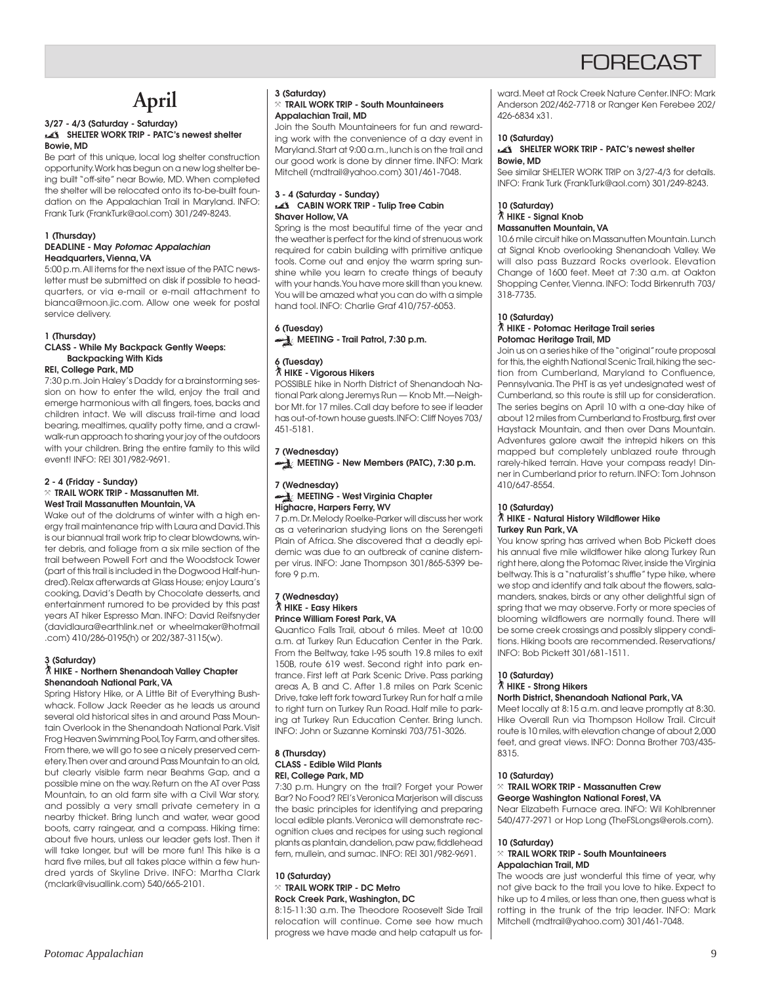## **April**

#### **3/27 - 4/3 (Saturday - Saturday) SHELTER WORK TRIP - PATC's newest shelter Bowie, MD**

Be part of this unique, local log shelter construction opportunity. Work has begun on a new log shelter being built "off-site" near Bowie, MD. When completed the shelter will be relocated onto its to-be-built foundation on the Appalachian Trail in Maryland. INFO: Frank Turk (FrankTurk@aol.com) 301/249-8243.

## **1 (Thursday)**

#### **DEADLINE - May Potomac Appalachian Headquarters, Vienna, VA**

5:00 p.m. All items for the next issue of the PATC newsletter must be submitted on disk if possible to headquarters, or via e-mail or e-mail attachment to bianca@moon.jic.com. Allow one week for postal service delivery.

#### **1 (Thursday)**

#### **CLASS - While My Backpack Gently Weeps: Backpacking With Kids REI, College Park, MD**

7:30 p.m. Join Haley's Daddy for a brainstorming session on how to enter the wild, enjoy the trail and emerge harmonious with all fingers, toes, backs and children intact. We will discuss trail-time and load bearing, mealtimes, quality potty time, and a crawlwalk-run approach to sharing your joy of the outdoors with your children. Bring the entire family to this wild event! INFO: REI 301/982-9691.

#### **2 - 4 (Friday - Sunday)** } **TRAIL WORK TRIP - Massanutten Mt. West Trail Massanutten Mountain, VA**

Wake out of the doldrums of winter with a high energy trail maintenance trip with Laura and David. This is our biannual trail work trip to clear blowdowns, winter debris, and foliage from a six mile section of the trail between Powell Fort and the Woodstock Tower (part of this trail is included in the Dogwood Half-hundred). Relax afterwards at Glass House; enjoy Laura's cooking, David's Death by Chocolate desserts, and entertainment rumored to be provided by this past years AT hiker Espresso Man. INFO: David Reifsnyder (davidlaura@earthlink.net or wheelmaker@hotmail .com) 410/286-0195(h) or 202/387-3115(w).

#### **3 (Saturday)**

#### ` **HIKE - Northern Shenandoah Valley Chapter Shenandoah National Park, VA**

Spring History Hike, or A Little Bit of Everything Bushwhack. Follow Jack Reeder as he leads us around several old historical sites in and around Pass Mountain Overlook in the Shenandoah National Park. Visit Frog Heaven Swimming Pool, Toy Farm, and other sites. From there, we will go to see a nicely preserved cemetery. Then over and around Pass Mountain to an old, but clearly visible farm near Beahms Gap, and a possible mine on the way. Return on the AT over Pass Mountain, to an old farm site with a Civil War story, and possibly a very small private cemetery in a nearby thicket. Bring lunch and water, wear good boots, carry raingear, and a compass. Hiking time: about five hours, unless our leader gets lost. Then it will take longer, but will be more fun! This hike is a hard five miles, but all takes place within a few hundred yards of Skyline Drive. INFO: Martha Clark (mclark@visuallink.com) 540/665-2101.

### **3 (Saturday)**

#### } **TRAIL WORK TRIP - South Mountaineers Appalachian Trail, MD**

Join the South Mountaineers for fun and rewarding work with the convenience of a day event in Maryland. Start at 9:00 a.m., lunch is on the trail and our good work is done by dinner time. INFO: Mark Mitchell (mdtrail@yahoo.com) 301/461-7048.

#### **3 - 4 (Saturday - Sunday) CABIN WORK TRIP - Tulip Tree Cabin Shaver Hollow, VA**

Spring is the most beautiful time of the year and the weather is perfect for the kind of strenuous work required for cabin building with primitive antique tools. Come out and enjoy the warm spring sunshine while you learn to create things of beauty with your hands. You have more skill than you knew. You will be amazed what you can do with a simple hand tool. INFO: Charlie Graf 410/757-6053.

## **6 (Tuesday)**

**MEETING - Trail Patrol, 7:30 p.m.** 

## **6 (Tuesday)** ` **HIKE - Vigorous Hikers**

POSSIBLE hike in North District of Shenandoah National Park along Jeremys Run — Knob Mt.—Neighbor Mt. for 17 miles. Call day before to see if leader has out-of-town house guests. INFO: Cliff Noyes 703/ 451-5181.

## **7 (Wednesday)**

**MEETING - New Members (PATC), 7:30 p.m.** 

#### **7 (Wednesday) MEETING - West Virginia Chapter Highacre, Harpers Ferry, WV**

7 p.m. Dr. Melody Roelke-Parker will discuss her work as a veterinarian studying lions on the Serengeti Plain of Africa. She discovered that a deadly epidemic was due to an outbreak of canine distemper virus. INFO: Jane Thompson 301/865-5399 before 9 p.m.

#### **7 (Wednesday)** ` **HIKE - Easy Hikers Prince William Forest Park, VA**

Quantico Falls Trail, about 6 miles. Meet at 10:00 a.m. at Turkey Run Education Center in the Park. From the Beltway, take I-95 south 19.8 miles to exit 150B, route 619 west. Second right into park entrance. First left at Park Scenic Drive. Pass parking areas A, B and C. After 1.8 miles on Park Scenic Drive, take left fork toward Turkey Run for half a mile to right turn on Turkey Run Road. Half mile to parking at Turkey Run Education Center. Bring lunch. INFO: John or Suzanne Kominski 703/751-3026.

#### **8 (Thursday) CLASS - Edible Wild Plants REI, College Park, MD**

7:30 p.m. Hungry on the trail? Forget your Power Bar? No Food? REI's Veronica Marjerison will discuss the basic principles for identifying and preparing local edible plants. Veronica will demonstrate recognition clues and recipes for using such regional plants as plantain, dandelion, paw paw, fiddlehead fern, mullein, and sumac. INFO: REI 301/982-9691.

#### **10 (Saturday)** } **TRAIL WORK TRIP - DC Metro Rock Creek Park, Washington, DC**

8:15-11:30 a.m. The Theodore Roosevelt Side Trail relocation will continue. Come see how much progress we have made and help catapult us for-

ward. Meet at Rock Creek Nature Center. INFO: Mark Anderson 202/462-7718 or Ranger Ken Ferebee 202/ 426-6834 x31.

#### **10 (Saturday) SHELTER WORK TRIP - PATC's newest shelter Bowie, MD**

See similar SHELTER WORK TRIP on 3/27-4/3 for details. INFO: Frank Turk (FrankTurk@aol.com) 301/249-8243.

#### **10 (Saturday)** ` **HIKE - Signal Knob Massanutten Mountain, VA**

10.6 mile circuit hike on Massanutten Mountain. Lunch at Signal Knob overlooking Shenandoah Valley. We will also pass Buzzard Rocks overlook. Elevation Change of 1600 feet. Meet at 7:30 a.m. at Oakton Shopping Center, Vienna. INFO: Todd Birkenruth 703/ 318-7735.

#### **10 (Saturday)** ` **HIKE - Potomac Heritage Trail series**

## **Potomac Heritage Trail, MD**

Join us on a series hike of the "original" route proposal for this, the eighth National Scenic Trail, hiking the section from Cumberland, Maryland to Confluence, Pennsylvania. The PHT is as yet undesignated west of Cumberland, so this route is still up for consideration. The series begins on April 10 with a one-day hike of about 12 miles from Cumberland to Frostburg, first over Haystack Mountain, and then over Dans Mountain. Adventures galore await the intrepid hikers on this mapped but completely unblazed route through rarely-hiked terrain. Have your compass ready! Dinner in Cumberland prior to return. INFO: Tom Johnson 410/647-8554.

#### **10 (Saturday)** ` **HIKE - Natural History Wildflower Hike Turkey Run Park, VA**

You know spring has arrived when Bob Pickett does his annual five mile wildflower hike along Turkey Run right here, along the Potomac River, inside the Virginia beltway. This is a "naturalist's shuffle" type hike, where we stop and identify and talk about the flowers, salamanders, snakes, birds or any other delightful sign of spring that we may observe. Forty or more species of blooming wildflowers are normally found. There will be some creek crossings and possibly slippery conditions. Hiking boots are recommended. Reservations/ INFO: Bob Pickett 301/681-1511.

#### **10 (Saturday)** ` **HIKE - Strong Hikers**

### **North District, Shenandoah National Park, VA**

Meet locally at 8:15 a.m. and leave promptly at 8:30. Hike Overall Run via Thompson Hollow Trail. Circuit route is 10 miles, with elevation change of about 2,000 feet, and great views. INFO: Donna Brother 703/435- 8315.

#### **10 (Saturday)**

#### } **TRAIL WORK TRIP - Massanutten Crew George Washington National Forest, VA**

Near Elizabeth Furnace area. INFO: Wil Kohlbrenner 540/477-2971 or Hop Long (TheFSLongs@erols.com).

#### **10 (Saturday)**

#### } **TRAIL WORK TRIP - South Mountaineers Appalachian Trail, MD**

The woods are just wonderful this time of year, why not give back to the trail you love to hike. Expect to hike up to 4 miles, or less than one, then guess what is rotting in the trunk of the trip leader. INFO: Mark Mitchell (mdtrail@yahoo.com) 301/461-7048.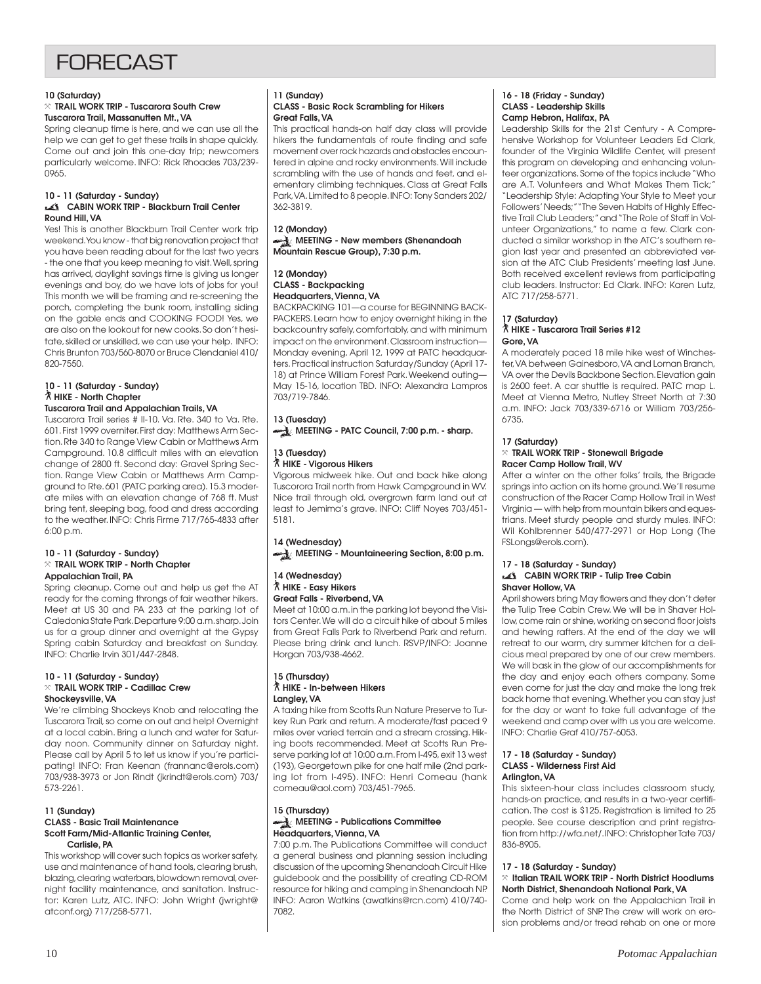## FORECAST

#### **10 (Saturday)**

#### } **TRAIL WORK TRIP - Tuscarora South Crew Tuscarora Trail, Massanutten Mt., VA**

Spring cleanup time is here, and we can use all the help we can get to get these trails in shape quickly. Come out and join this one-day trip; newcomers particularly welcome. INFO: Rick Rhoades 703/239- 0965.

#### **10 - 11 (Saturday - Sunday) CABIN WORK TRIP - Blackburn Trail Center Round Hill, VA**

Yes! This is another Blackburn Trail Center work trip weekend. You know - that big renovation project that you have been reading about for the last two years - the one that you keep meaning to visit. Well, spring has arrived, daylight savings time is giving us longer evenings and boy, do we have lots of jobs for you! This month we will be framing and re-screening the porch, completing the bunk room, installing siding on the gable ends and COOKING FOOD! Yes, we are also on the lookout for new cooks. So don't hesitate, skilled or unskilled, we can use your help. INFO: Chris Brunton 703/560-8070 or Bruce Clendaniel 410/ 820-7550.

#### **10 - 11 (Saturday - Sunday)** ` **HIKE - North Chapter**

**Tuscarora Trail and Appalachian Trails, VA**

Tuscarora Trail series # II-10. Va. Rte. 340 to Va. Rte. 601. First 1999 overniter. First day: Matthews Arm Section. Rte 340 to Range View Cabin or Matthews Arm Campground. 10.8 difficult miles with an elevation change of 2800 ft. Second day: Gravel Spring Section. Range View Cabin or Matthews Arm Campground to Rte. 601 (PATC parking area). 15.3 moderate miles with an elevation change of 768 ft. Must bring tent, sleeping bag, food and dress according to the weather. INFO: Chris Firme 717/765-4833 after 6:00 p.m.

#### **10 - 11 (Saturday - Sunday)** } **TRAIL WORK TRIP - North Chapter Appalachian Trail, PA**

Spring cleanup. Come out and help us get the AT ready for the coming throngs of fair weather hikers. Meet at US 30 and PA 233 at the parking lot of Caledonia State Park. Departure 9:00 a.m. sharp. Join us for a group dinner and overnight at the Gypsy Spring cabin Saturday and breakfast on Sunday. INFO: Charlie Irvin 301/447-2848.

#### **10 - 11 (Saturday - Sunday)** } **TRAIL WORK TRIP - Cadillac Crew Shockeysville, VA**

We're climbing Shockeys Knob and relocating the Tuscarora Trail, so come on out and help! Overnight at a local cabin. Bring a lunch and water for Saturday noon. Community dinner on Saturday night. Please call by April 5 to let us know if you're participating! INFO: Fran Keenan (frannanc@erols.com) 703/938-3973 or Jon Rindt (jkrindt@erols.com) 703/ 573-2261.

#### **11 (Sunday) CLASS - Basic Trail Maintenance Scott Farm/Mid-Atlantic Training Center, Carlisle, PA**

This workshop will cover such topics as worker safety, use and maintenance of hand tools, clearing brush, blazing, clearing waterbars, blowdown removal, overnight facility maintenance, and sanitation. Instructor: Karen Lutz, ATC. INFO: John Wright (jwright@ atconf.org) 717/258-5771.

## **11 (Sunday)**

#### **CLASS - Basic Rock Scrambling for Hikers Great Falls, VA**

This practical hands-on half day class will provide hikers the fundamentals of route finding and safe movement over rock hazards and obstacles encountered in alpine and rocky environments. Will include scrambling with the use of hands and feet, and elementary climbing techniques. Class at Great Falls Park, VA. Limited to 8 people. INFO: Tony Sanders 202/ 362-3819.

#### **12 (Monday) MEETING - New members (Shenandoah Mountain Rescue Group), 7:30 p.m.**

#### **12 (Monday) CLASS - Backpacking Headquarters, Vienna, VA**

BACKPACKING 101—a course for BEGINNING BACK-PACKERS. Learn how to enjoy overnight hiking in the backcountry safely, comfortably, and with minimum impact on the environment. Classroom instruction— Monday evening, April 12, 1999 at PATC headquarters. Practical instruction Saturday/Sunday (April 17- 18) at Prince William Forest Park. Weekend outing— May 15-16, location TBD. INFO: Alexandra Lampros 703/719-7846.

## **13 (Tuesday)**

**MEETING - PATC Council, 7:00 p.m. - sharp.**

## **13 (Tuesday)**

` **HIKE - Vigorous Hikers** Vigorous midweek hike. Out and back hike along

Tuscorora Trail north from Hawk Campground in WV. Nice trail through old, overgrown farm land out at least to Jemima's grave. INFO: Cliff Noyes 703/451- 5181.

#### **14 (Wednesday) MEETING - Mountaineering Section, 8:00 p.m.**

#### **14 (Wednesday)** ` **HIKE - Easy Hikers Great Falls - Riverbend, VA**

Meet at 10:00 a.m. in the parking lot beyond the Visitors Center. We will do a circuit hike of about 5 miles from Great Falls Park to Riverbend Park and return. Please bring drink and lunch. RSVP/INFO: Joanne Horgan 703/938-4662.

#### **15 (Thursday)** ` **HIKE - In-between Hikers Langley, VA**

A taxing hike from Scotts Run Nature Preserve to Turkey Run Park and return. A moderate/fast paced 9 miles over varied terrain and a stream crossing. Hiking boots recommended. Meet at Scotts Run Preserve parking lot at 10:00 a.m. From I-495, exit 13 west (193), Georgetown pike for one half mile (2nd parking lot from I-495). INFO: Henri Comeau (hank comeau@aol.com) 703/451-7965.

#### **15 (Thursday) MEETING - Publications Committee Headquarters, Vienna, VA**

7:00 p.m. The Publications Committee will conduct a general business and planning session including discussion of the upcoming Shenandoah Circuit Hike guidebook and the possibility of creating CD-ROM resource for hiking and camping in Shenandoah NP. INFO: Aaron Watkins (awatkins@rcn.com) 410/740- 7082.

#### **16 - 18 (Friday - Sunday) CLASS - Leadership Skills Camp Hebron, Halifax, PA**

Leadership Skills for the 21st Century - A Comprehensive Workshop for Volunteer Leaders Ed Clark, founder of the Virginia Wildlife Center, will present this program on developing and enhancing volunteer organizations. Some of the topics include "Who are A.T. Volunteers and What Makes Them Tick;" "Leadership Style: Adapting Your Style to Meet your Followers' Needs;" "The Seven Habits of Highly Effective Trail Club Leaders;" and "The Role of Staff in Volunteer Organizations," to name a few. Clark conducted a similar workshop in the ATC's southern region last year and presented an abbreviated version at the ATC Club Presidents' meeting last June. Both received excellent reviews from participating club leaders. Instructor: Ed Clark. INFO: Karen Lutz, ATC 717/258-5771.

#### **17 (Saturday)**

#### ` **HIKE - Tuscarora Trail Series #12 Gore, VA**

A moderately paced 18 mile hike west of Winchester, VA between Gainesboro, VA and Loman Branch, VA over the Devils Backbone Section. Elevation gain is 2600 feet. A car shuttle is required. PATC map L. Meet at Vienna Metro, Nutley Street North at 7:30 a.m. INFO: Jack 703/339-6716 or William 703/256- 6735.

#### **17 (Saturday)** } **TRAIL WORK TRIP - Stonewall Brigade Racer Camp Hollow Trail, WV**

After a winter on the other folks' trails, the Brigade springs into action on its home ground. We'll resume construction of the Racer Camp Hollow Trail in West Virginia — with help from mountain bikers and equestrians. Meet sturdy people and sturdy mules. INFO: Wil Kohlbrenner 540/477-2971 or Hop Long (The FSLongs@erols.com).

#### **17 - 18 (Saturday - Sunday) CABIN WORK TRIP - Tulip Tree Cabin Shaver Hollow, VA**

April showers bring May flowers and they don't deter the Tulip Tree Cabin Crew. We will be in Shaver Hollow, come rain or shine, working on second floor joists and hewing rafters. At the end of the day we will retreat to our warm, dry summer kitchen for a delicious meal prepared by one of our crew members. We will bask in the glow of our accomplishments for the day and enjoy each others company. Some even come for just the day and make the long trek back home that evening. Whether you can stay just for the day or want to take full advantage of the weekend and camp over with us you are welcome. INFO: Charlie Graf 410/757-6053.

#### **17 - 18 (Saturday - Sunday) CLASS - Wilderness First Aid Arlington, VA**

This sixteen-hour class includes classroom study, hands-on practice, and results in a two-year certification. The cost is \$125. Registration is limited to 25 people. See course description and print registration from http://wfa.net/. INFO: Christopher Tate 703/ 836-8905.

#### **17 - 18 (Saturday - Sunday)**

#### } **Italian TRAIL WORK TRIP - North District Hoodlums North District, Shenandoah National Park, VA**

Come and help work on the Appalachian Trail in the North District of SNP. The crew will work on erosion problems and/or tread rehab on one or more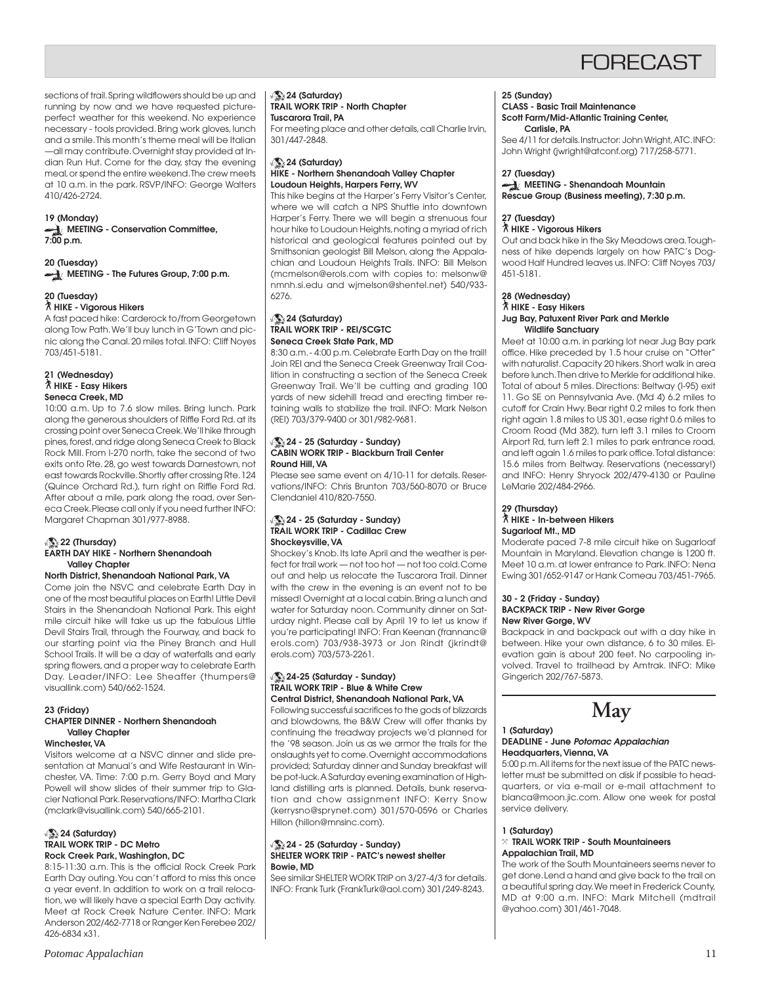sections of trail. Spring wildflowers should be up and running by now and we have requested pictureperfect weather for this weekend. No experience necessary - tools provided. Bring work gloves, lunch and a smile. This month's theme meal will be Italian —all may contribute. Overnight stay provided at Indian Run Hut. Come for the day, stay the evening meal, or spend the entire weekend. The crew meets at 10 a.m. in the park. RSVP/INFO: George Walters 410/426-2724.

#### **19 (Monday)**

**MEETING - Conservation Committee, 7:00 p.m.**

**20 (Tuesday) MEETING - The Futures Group, 7:00 p.m.**

#### **20 (Tuesday)**

#### ` **HIKE - Vigorous Hikers**

A fast paced hike: Carderock to/from Georgetown along Tow Path. We'll buy lunch in G'Town and picnic along the Canal. 20 miles total. INFO: Cliff Noyes 703/451-5181.

#### **21 (Wednesday)** ` **HIKE - Easy Hikers Seneca Creek, MD**

10:00 a.m. Up to 7.6 slow miles. Bring lunch. Park along the generous shoulders of Riffle Ford Rd. at its crossing point over Seneca Creek. We'll hike through pines, forest, and ridge along Seneca Creek to Black Rock Mill. From I-270 north, take the second of two exits onto Rte. 28, go west towards Darnestown, not east towards Rockville. Shortly after crossing Rte. 124 (Quince Orchard Rd.), turn right on Riffle Ford Rd. After about a mile, park along the road, over Seneca Creek. Please call only if you need further INFO: Margaret Chapman 301/977-8988.

#### **22 (Thursday) EARTH DAY HIKE - Northern Shenandoah Valley Chapter**

#### **North District, Shenandoah National Park, VA**

Come join the NSVC and celebrate Earth Day in one of the most beautiful places on Earth! Little Devil Stairs in the Shenandoah National Park. This eight mile circuit hike will take us up the fabulous Little Devil Stairs Trail, through the Fourway, and back to our starting point via the Piney Branch and Hull School Trails. It will be a day of waterfalls and early spring flowers, and a proper way to celebrate Earth Day. Leader/INFO: Lee Sheaffer (thumpers@ visuallink.com) 540/662-1524.

#### **23 (Friday)**

#### **CHAPTER DINNER - Northern Shenandoah Valley Chapter Winchester, VA**

Visitors welcome at a NSVC dinner and slide pre-

sentation at Manual's and Wife Restaurant in Winchester, VA. Time: 7:00 p.m. Gerry Boyd and Mary Powell will show slides of their summer trip to Glacier National Park. Reservations/INFO: Martha Clark (mclark@visuallink.com) 540/665-2101.

#### **24 (Saturday) TRAIL WORK TRIP - DC Metro Rock Creek Park, Washington, DC**

8:15-11:30 a.m. This is the official Rock Creek Park Earth Day outing. You can't afford to miss this once a year event. In addition to work on a trail relocation, we will likely have a special Earth Day activity. Meet at Rock Creek Nature Center. INFO: Mark Anderson 202/462-7718 or Ranger Ken Ferebee 202/ 426-6834 x31.

#### **24 (Saturday) TRAIL WORK TRIP - North Chapter Tuscarora Trail, PA**

For meeting place and other details, call Charlie Irvin, 301/447-2848.

#### **24 (Saturday) HIKE - Northern Shenandoah Valley Chapter Loudoun Heights, Harpers Ferry, WV**

This hike begins at the Harper's Ferry Visitor's Center, where we will catch a NPS Shuttle into downtown Harper's Ferry. There we will begin a strenuous four hour hike to Loudoun Heights, noting a myriad of rich historical and geological features pointed out by Smithsonian geologist Bill Melson, along the Appalachian and Loudoun Heights Trails. INFO: Bill Melson (mcmelson@erols.com with copies to: melsonw@ nmnh.si.edu and wjmelson@shentel.net) 540/933- 6276.

#### **24 (Saturday) TRAIL WORK TRIP - REI/SCGTC Seneca Creek State Park, MD**

8:30 a.m. - 4:00 p.m. Celebrate Earth Day on the trail! Join REI and the Seneca Creek Greenway Trail Coalition in constructing a section of the Seneca Creek Greenway Trail. We'll be cutting and grading 100 yards of new sidehill tread and erecting timber retaining walls to stabilize the trail. INFO: Mark Nelson (REI) 703/379-9400 or 301/982-9681.

#### **24 - 25 (Saturday - Sunday) CABIN WORK TRIP - Blackburn Trail Center Round Hill, VA**

Please see same event on 4/10-11 for details. Reservations/INFO: Chris Brunton 703/560-8070 or Bruce Clendaniel 410/820-7550.

#### **24 - 25 (Saturday - Sunday) TRAIL WORK TRIP - Cadillac Crew Shockeysville, VA**

Shockey's Knob. Its late April and the weather is perfect for trail work — not too hot — not too cold. Come out and help us relocate the Tuscarora Trail. Dinner with the crew in the evening is an event not to be missed! Overnight at a local cabin. Bring a lunch and water for Saturday noon. Community dinner on Saturday night. Please call by April 19 to let us know if you're participating! INFO: Fran Keenan (frannanc@ erols.com) 703/938-3973 or Jon Rindt (jkrindt@ erols.com) 703/573-2261.

#### **24-25 (Saturday - Sunday) TRAIL WORK TRIP - Blue & White Crew Central District, Shenandoah National Park, VA**

Following successful sacrifices to the gods of blizzards and blowdowns, the B&W Crew will offer thanks by continuing the treadway projects we'd planned for the '98 season. Join us as we armor the trails for the onslaughts yet to come. Overnight accommodations provided; Saturday dinner and Sunday breakfast will be pot-luck. A Saturday evening examination of Highland distilling arts is planned. Details, bunk reservation and chow assignment INFO: Kerry Snow (kerrysno@sprynet.com) 301/570-0596 or Charles Hillon (hillon@mnsinc.com).

#### **24 - 25 (Saturday - Sunday) SHELTER WORK TRIP - PATC's newest shelter Bowie, MD**

See similar SHELTER WORK TRIP on 3/27-4/3 for details. INFO: Frank Turk (FrankTurk@aol.com) 301/249-8243.

#### **25 (Sunday)**

### **CLASS - Basic Trail Maintenance**

**Scott Farm/Mid-Atlantic Training Center, Carlisle, PA**

See 4/11 for details. Instructor: John Wright, ATC. INFO: John Wright (jwright@atconf.org) 717/258-5771.

#### **27 (Tuesday)**

#### **MEETING - Shenandoah Mountain Rescue Group (Business meeting), 7:30 p.m.**

#### **27 (Tuesday)** ` **HIKE - Vigorous Hikers**

Out and back hike in the Sky Meadows area. Toughness of hike depends largely on how PATC's Dogwood Half Hundred leaves us. INFO: Cliff Noyes 703/ 451-5181.

#### **28 (Wednesday)** ` **HIKE - Easy Hikers Jug Bay, Patuxent River Park and Merkle Wildlife Sanctuary**

Meet at 10:00 a.m. in parking lot near Jug Bay park office. Hike preceded by 1.5 hour cruise on "Otter" with naturalist. Capacity 20 hikers. Short walk in area before lunch. Then drive to Merkle for additional hike. Total of about 5 miles. Directions: Beltway (I-95) exit 11. Go SE on Pennsylvania Ave. (Md 4) 6.2 miles to cutoff for Crain Hwy. Bear right 0.2 miles to fork then right again 1.8 miles to US 301, ease right 0.6 miles to Croom Road (Md 382), turn left 3.1 miles to Croom Airport Rd, turn left 2.1 miles to park entrance road, and left again 1.6 miles to park office. Total distance: 15.6 miles from Beltway. Reservations (necessary!) and INFO: Henry Shryock 202/479-4130 or Pauline LeMarie 202/484-2966.

#### **29 (Thursday)** ` **HIKE - In-between Hikers Sugarloaf Mt., MD**

Moderate paced 7-8 mile circuit hike on Sugarloaf Mountain in Maryland. Elevation change is 1200 ft. Meet 10 a.m. at lower entrance to Park. INFO: Nena Ewing 301/652-9147 or Hank Comeau 703/451-7965.

#### **30 - 2 (Friday - Sunday) BACKPACK TRIP - New River Gorge New River Gorge, WV**

Backpack in and backpack out with a day hike in between. Hike your own distance, 6 to 30 miles. Elevation gain is about 200 feet. No carpooling involved. Travel to trailhead by Amtrak. INFO: Mike Gingerich 202/767-5873.

## **May**

#### **1 (Saturday) DEADLINE - June Potomac Appalachian Headquarters, Vienna, VA**

5:00 p.m. All items for the next issue of the PATC newsletter must be submitted on disk if possible to headquarters, or via e-mail or e-mail attachment to bianca@moon.jic.com. Allow one week for postal service delivery.

#### **1 (Saturday)**

#### } **TRAIL WORK TRIP - South Mountaineers Appalachian Trail, MD**

The work of the South Mountaineers seems never to get done. Lend a hand and give back to the trail on a beautiful spring day. We meet in Frederick County, MD at 9:00 a.m. INFO: Mark Mitchell (mdtrail @yahoo.com) 301/461-7048.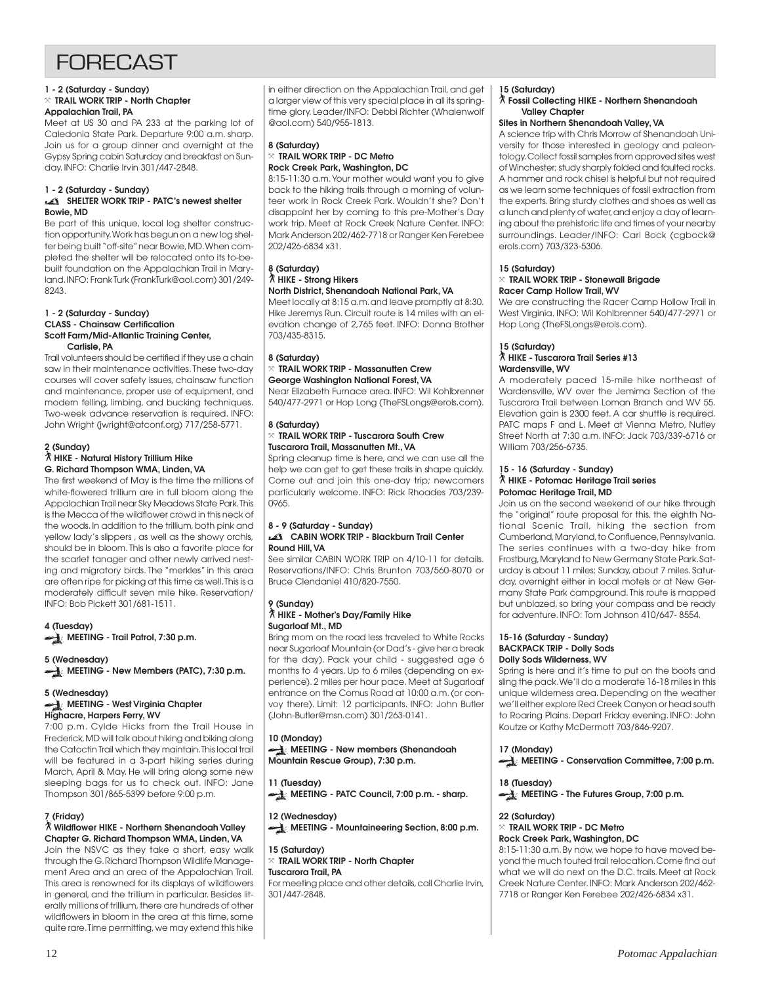#### **1 - 2 (Saturday - Sunday)** } **TRAIL WORK TRIP - North Chapter**

#### **Appalachian Trail, PA**

Meet at US 30 and PA 233 at the parking lot of Caledonia State Park. Departure 9:00 a.m. sharp. Join us for a group dinner and overnight at the Gypsy Spring cabin Saturday and breakfast on Sunday. INFO: Charlie Irvin 301/447-2848.

#### **1 - 2 (Saturday - Sunday)**

#### SHELTER WORK TRIP - PATC's newest shelter **Bowie, MD**

Be part of this unique, local log shelter construction opportunity. Work has begun on a new log shelter being built "off-site" near Bowie, MD. When completed the shelter will be relocated onto its to-bebuilt foundation on the Appalachian Trail in Maryland. INFO: Frank Turk (FrankTurk@aol.com) 301/249- 8243.

#### **1 - 2 (Saturday - Sunday) CLASS - Chainsaw Certification Scott Farm/Mid-Atlantic Training Center, Carlisle, PA**

Trail volunteers should be certified if they use a chain saw in their maintenance activities. These two-day courses will cover safety issues, chainsaw function and maintenance, proper use of equipment, and modern felling, limbing, and bucking techniques. Two-week advance reservation is required. INFO: John Wright (jwright@atconf.org) 717/258-5771.

#### **2 (Sunday)**

` **HIKE - Natural History Trillium Hike G. Richard Thompson WMA, Linden, VA**

The first weekend of May is the time the millions of white-flowered trillium are in full bloom along the Appalachian Trail near Sky Meadows State Park. This is the Mecca of the wildflower crowd in this neck of the woods. In addition to the trillium, both pink and yellow lady's slippers , as well as the showy orchis, should be in bloom. This is also a favorite place for the scarlet tanager and other newly arrived nesting and migratory birds. The "merkles" in this area are often ripe for picking at this time as well. This is a moderately difficult seven mile hike. Reservation/ INFO: Bob Pickett 301/681-1511.

**4 (Tuesday) MEETING - Trail Patrol, 7:30 p.m.** 

#### **5 (Wednesday)**

**MEETING - New Members (PATC), 7:30 p.m.**

#### **5 (Wednesday) MEETING - West Virginia Chapter Highacre, Harpers Ferry, WV**

7:00 p.m. Cylde Hicks from the Trail House in Frederick, MD will talk about hiking and biking along the Catoctin Trail which they maintain. This local trail will be featured in a 3-part hiking series during March, April & May. He will bring along some new sleeping bags for us to check out. INFO: Jane Thompson 301/865-5399 before 9:00 p.m.

### **7 (Friday)**

#### ` **Wildflower HIKE - Northern Shenandoah Valley Chapter G. Richard Thompson WMA, Linden, VA**

Join the NSVC as they take a short, easy walk through the G. Richard Thompson Wildlife Management Area and an area of the Appalachian Trail. This area is renowned for its displays of wildflowers in general, and the trillium in particular. Besides literally millions of trillium, there are hundreds of other wildflowers in bloom in the area at this time, some quite rare. Time permitting, we may extend this hike in either direction on the Appalachian Trail, and get a larger view of this very special place in all its springtime glory. Leader/INFO: Debbi Richter (Whalenwolf @aol.com) 540/955-1813.

#### **8 (Saturday)** } **TRAIL WORK TRIP - DC Metro Rock Creek Park, Washington, DC**

8:15-11:30 a.m. Your mother would want you to give back to the hiking trails through a morning of volunteer work in Rock Creek Park. Wouldn't she? Don't disappoint her by coming to this pre-Mother's Day work trip. Meet at Rock Creek Nature Center. INFO: Mark Anderson 202/462-7718 or Ranger Ken Ferebee 202/426-6834 x31.

#### **8 (Saturday)** ` **HIKE - Strong Hikers North District, Shenandoah National Park, VA**

Meet locally at 8:15 a.m. and leave promptly at 8:30. Hike Jeremys Run. Circuit route is 14 miles with an elevation change of 2,765 feet. INFO: Donna Brother 703/435-8315.

#### **8 (Saturday)** } **TRAIL WORK TRIP - Massanutten Crew George Washington National Forest, VA** Near Elizabeth Furnace area. INFO: Wil Kohlbrenner

540/477-2971 or Hop Long (TheFSLongs@erols.com).

#### **8 (Saturday)**

#### } **TRAIL WORK TRIP - Tuscarora South Crew Tuscarora Trail, Massanutten Mt., VA**

Spring cleanup time is here, and we can use all the help we can get to get these trails in shape quickly. Come out and join this one-day trip; newcomers particularly welcome. INFO: Rick Rhoades 703/239- 0965.

#### **8 - 9 (Saturday - Sunday) CABIN WORK TRIP - Blackburn Trail Center Round Hill, VA**

See similar CABIN WORK TRIP on 4/10-11 for details. Reservations/INFO: Chris Brunton 703/560-8070 or Bruce Clendaniel 410/820-7550.

#### **9 (Sunday)** ` **HIKE - Mother's Day/Family Hike Sugarloaf Mt., MD**

Bring mom on the road less traveled to White Rocks near Sugarloaf Mountain (or Dad's - give her a break for the day). Pack your child - suggested age 6 months to 4 years. Up to 6 miles (depending on experience). 2 miles per hour pace. Meet at Sugarloaf entrance on the Comus Road at 10:00 a.m. (or convoy there). Limit: 12 participants. INFO: John Butler (John-Butler@msn.com) 301/263-0141.

#### **10 (Monday)**

#### **MEETING - New members (Shenandoah Mountain Rescue Group), 7:30 p.m.**

**11 (Tuesday) MEETING - PATC Council, 7:00 p.m. - sharp.**

**12 (Wednesday) MEETING - Mountaineering Section, 8:00 p.m.**

#### **15 (Saturday)** } **TRAIL WORK TRIP - North Chapter Tuscarora Trail, PA** For meeting place and other details, call Charlie Irvin, 301/447-2848.

#### **15 (Saturday)**

#### ` **Fossil Collecting HIKE - Northern Shenandoah Valley Chapter**

#### **Sites in Northern Shenandoah Valley, VA**

A science trip with Chris Morrow of Shenandoah University for those interested in geology and paleontology. Collect fossil samples from approved sites west of Winchester; study sharply folded and faulted rocks. A hammer and rock chisel is helpful but not required as we learn some techniques of fossil extraction from the experts. Bring sturdy clothes and shoes as well as a lunch and plenty of water, and enjoy a day of learning about the prehistoric life and times of your nearby surroundings. Leader/INFO: Carl Bock (cgbock@ erols.com) 703/323-5306.

#### **15 (Saturday)**

#### } **TRAIL WORK TRIP - Stonewall Brigade Racer Camp Hollow Trail, WV**

We are constructing the Racer Camp Hollow Trail in West Virginia. INFO: Wil Kohlbrenner 540/477-2971 or Hop Long (TheFSLongs@erols.com).

#### **15 (Saturday)** ` **HIKE - Tuscarora Trail Series #13**

### **Wardensville, WV**

A moderately paced 15-mile hike northeast of Wardensville, WV over the Jemima Section of the Tuscarora Trail between Loman Branch and WV 55. Elevation gain is 2300 feet. A car shuttle is required. PATC maps F and L. Meet at Vienna Metro, Nutley Street North at 7:30 a.m. INFO: Jack 703/339-6716 or William 703/256-6735.

#### **15 - 16 (Saturday - Sunday)** ` **HIKE - Potomac Heritage Trail series Potomac Heritage Trail, MD**

Join us on the second weekend of our hike through the "original" route proposal for this, the eighth National Scenic Trail, hiking the section from Cumberland, Maryland, to Confluence, Pennsylvania. The series continues with a two-day hike from Frostburg, Maryland to New Germany State Park. Saturday is about 11 miles; Sunday, about 7 miles. Saturday, overnight either in local motels or at New Germany State Park campground. This route is mapped but unblazed, so bring your compass and be ready for adventure. INFO: Tom Johnson 410/647- 8554.

#### **15-16 (Saturday - Sunday) BACKPACK TRIP - Dolly Sods Dolly Sods Wilderness, WV**

Spring is here and it's time to put on the boots and sling the pack. We'll do a moderate 16-18 miles in this unique wilderness area. Depending on the weather we'll either explore Red Creek Canyon or head south to Roaring Plains. Depart Friday evening. INFO: John Koutze or Kathy McDermott 703/846-9207.

#### **17 (Monday)**

**MEETING - Conservation Committee, 7:00 p.m.**

#### **18 (Tuesday)**

MEETING - The Futures Group, 7:00 p.m.

#### **22 (Saturday)**

## } **TRAIL WORK TRIP - DC Metro**

## **Rock Creek Park, Washington, DC**

8:15-11:30 a.m. By now, we hope to have moved beyond the much touted trail relocation. Come find out what we will do next on the D.C. trails. Meet at Rock Creek Nature Center. INFO: Mark Anderson 202/462- 7718 or Ranger Ken Ferebee 202/426-6834 x31.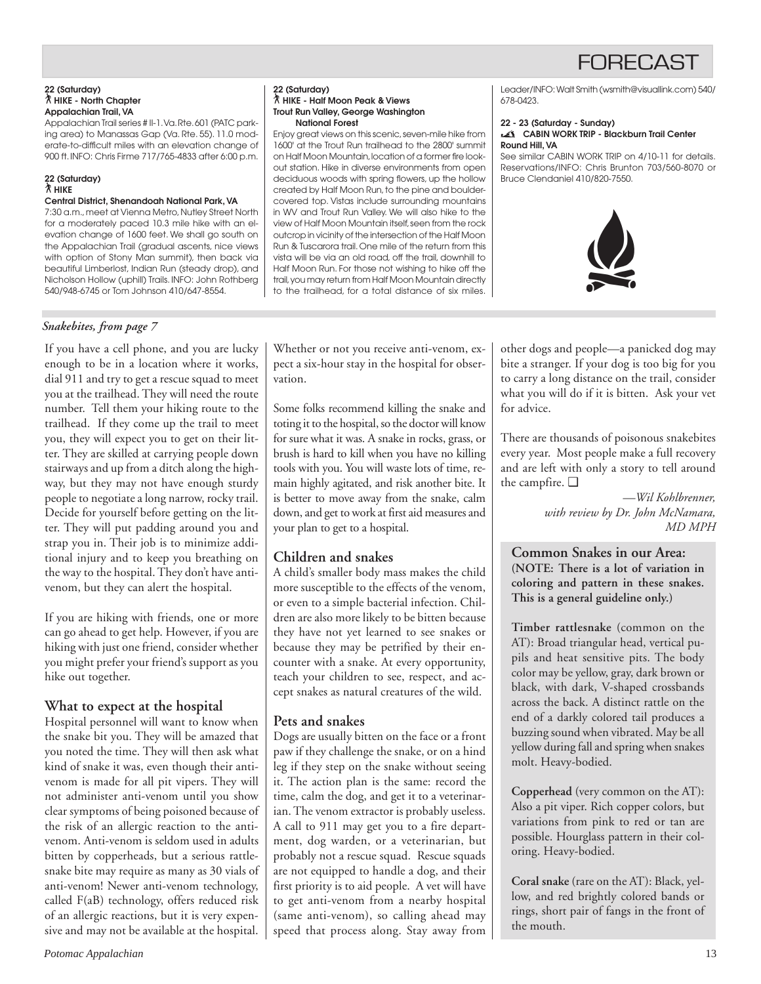#### **22 (Saturday)** ` **HIKE - North Chapter Appalachian Trail, VA**

Appalachian Trail series # II-1. Va. Rte. 601 (PATC parking area) to Manassas Gap (Va. Rte. 55). 11.0 moderate-to-difficult miles with an elevation change of 900 ft. INFO: Chris Firme 717/765-4833 after 6:00 p.m.

#### **22 (Saturday)** ` **HIKE**

#### **Central District, Shenandoah National Park, VA**

7:30 a.m., meet at Vienna Metro, Nutley Street North for a moderately paced 10.3 mile hike with an elevation change of 1600 feet. We shall go south on the Appalachian Trail (gradual ascents, nice views with option of Stony Man summit), then back via beautiful Limberlost, Indian Run (steady drop), and Nicholson Hollow (uphill) Trails. INFO: John Rothberg 540/948-6745 or Tom Johnson 410/647-8554.

### *Snakebites, from page 7*

If you have a cell phone, and you are lucky enough to be in a location where it works, dial 911 and try to get a rescue squad to meet you at the trailhead. They will need the route number. Tell them your hiking route to the trailhead. If they come up the trail to meet you, they will expect you to get on their litter. They are skilled at carrying people down stairways and up from a ditch along the highway, but they may not have enough sturdy people to negotiate a long narrow, rocky trail. Decide for yourself before getting on the litter. They will put padding around you and strap you in. Their job is to minimize additional injury and to keep you breathing on the way to the hospital. They don't have antivenom, but they can alert the hospital.

If you are hiking with friends, one or more can go ahead to get help. However, if you are hiking with just one friend, consider whether you might prefer your friend's support as you hike out together.

### **What to expect at the hospital**

Hospital personnel will want to know when the snake bit you. They will be amazed that you noted the time. They will then ask what kind of snake it was, even though their antivenom is made for all pit vipers. They will not administer anti-venom until you show clear symptoms of being poisoned because of the risk of an allergic reaction to the antivenom. Anti-venom is seldom used in adults bitten by copperheads, but a serious rattlesnake bite may require as many as 30 vials of anti-venom! Newer anti-venom technology, called F(aB) technology, offers reduced risk of an allergic reactions, but it is very expensive and may not be available at the hospital.

#### **22 (Saturday)** ` **HIKE - Half Moon Peak & Views Trout Run Valley, George Washington National Forest**

Enjoy great views on this scenic, seven-mile hike from 1600' at the Trout Run trailhead to the 2800' summit on Half Moon Mountain, location of a former fire lookout station. Hike in diverse environments from open deciduous woods with spring flowers, up the hollow created by Half Moon Run, to the pine and bouldercovered top. Vistas include surrounding mountains in WV and Trout Run Valley. We will also hike to the view of Half Moon Mountain itself, seen from the rock outcrop in vicinity of the intersection of the Half Moon Run & Tuscarora trail. One mile of the return from this vista will be via an old road, off the trail, downhill to Half Moon Run. For those not wishing to hike off the trail, you may return from Half Moon Mountain directly to the trailhead, for a total distance of six miles. Leader/INFO: Walt Smith (wsmith@visuallink.com) 540/ 678-0423.

#### **22 - 23 (Saturday - Sunday) CABIN WORK TRIP - Blackburn Trail Center Round Hill, VA**

See similar CABIN WORK TRIP on 4/10-11 for details. Reservations/INFO: Chris Brunton 703/560-8070 or Bruce Clendaniel 410/820-7550.



Whether or not you receive anti-venom, expect a six-hour stay in the hospital for observation.

Some folks recommend killing the snake and toting it to the hospital, so the doctor will know for sure what it was. A snake in rocks, grass, or brush is hard to kill when you have no killing tools with you. You will waste lots of time, remain highly agitated, and risk another bite. It is better to move away from the snake, calm down, and get to work at first aid measures and your plan to get to a hospital.

### **Children and snakes**

A child's smaller body mass makes the child more susceptible to the effects of the venom, or even to a simple bacterial infection. Children are also more likely to be bitten because they have not yet learned to see snakes or because they may be petrified by their encounter with a snake. At every opportunity, teach your children to see, respect, and accept snakes as natural creatures of the wild.

### **Pets and snakes**

Dogs are usually bitten on the face or a front paw if they challenge the snake, or on a hind leg if they step on the snake without seeing it. The action plan is the same: record the time, calm the dog, and get it to a veterinarian. The venom extractor is probably useless. A call to 911 may get you to a fire department, dog warden, or a veterinarian, but probably not a rescue squad. Rescue squads are not equipped to handle a dog, and their first priority is to aid people. A vet will have to get anti-venom from a nearby hospital (same anti-venom), so calling ahead may speed that process along. Stay away from other dogs and people—a panicked dog may bite a stranger. If your dog is too big for you to carry a long distance on the trail, consider what you will do if it is bitten. Ask your vet for advice.

There are thousands of poisonous snakebites every year. Most people make a full recovery and are left with only a story to tell around the campfire. ❑

> *—Wil Kohlbrenner, with review by Dr. John McNamara, MD MPH*

**Common Snakes in our Area: (NOTE: There is a lot of variation in coloring and pattern in these snakes. This is a general guideline only.)**

**Timber rattlesnake** (common on the AT): Broad triangular head, vertical pupils and heat sensitive pits. The body color may be yellow, gray, dark brown or black, with dark, V-shaped crossbands across the back. A distinct rattle on the end of a darkly colored tail produces a buzzing sound when vibrated. May be all yellow during fall and spring when snakes molt. Heavy-bodied.

**Copperhead** (very common on the AT): Also a pit viper. Rich copper colors, but variations from pink to red or tan are possible. Hourglass pattern in their coloring. Heavy-bodied.

**Coral snake** (rare on the AT): Black, yellow, and red brightly colored bands or rings, short pair of fangs in the front of the mouth.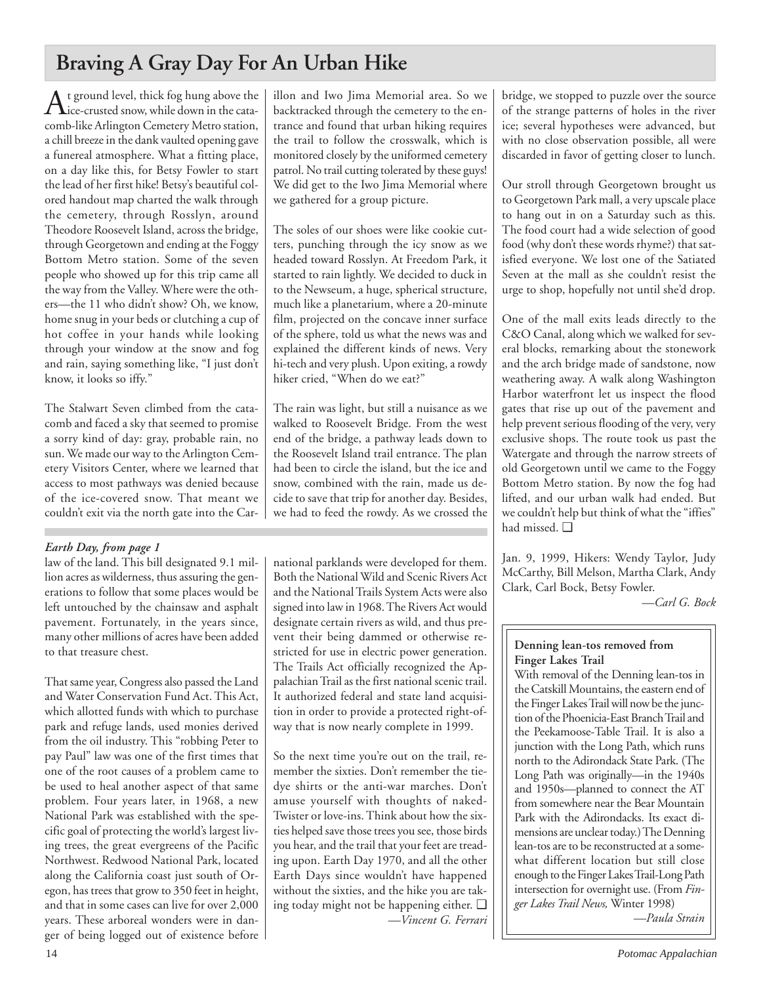## **Braving A Gray Day For An Urban Hike**

 $A$ t ground level, thick fog hung above the cata-<br>ice-crusted snow, while down in the catacomb-like Arlington Cemetery Metro station, a chill breeze in the dank vaulted opening gave a funereal atmosphere. What a fitting place, on a day like this, for Betsy Fowler to start the lead of her first hike! Betsy's beautiful colored handout map charted the walk through the cemetery, through Rosslyn, around Theodore Roosevelt Island, across the bridge, through Georgetown and ending at the Foggy Bottom Metro station. Some of the seven people who showed up for this trip came all the way from the Valley. Where were the others—the 11 who didn't show? Oh, we know, home snug in your beds or clutching a cup of hot coffee in your hands while looking through your window at the snow and fog and rain, saying something like, "I just don't know, it looks so iffy."

The Stalwart Seven climbed from the catacomb and faced a sky that seemed to promise a sorry kind of day: gray, probable rain, no sun. We made our way to the Arlington Cemetery Visitors Center, where we learned that access to most pathways was denied because of the ice-covered snow. That meant we couldn't exit via the north gate into the Car-

### *Earth Day, from page 1*

law of the land. This bill designated 9.1 million acres as wilderness, thus assuring the generations to follow that some places would be left untouched by the chainsaw and asphalt pavement. Fortunately, in the years since, many other millions of acres have been added to that treasure chest.

That same year, Congress also passed the Land and Water Conservation Fund Act. This Act, which allotted funds with which to purchase park and refuge lands, used monies derived from the oil industry. This "robbing Peter to pay Paul" law was one of the first times that one of the root causes of a problem came to be used to heal another aspect of that same problem. Four years later, in 1968, a new National Park was established with the specific goal of protecting the world's largest living trees, the great evergreens of the Pacific Northwest. Redwood National Park, located along the California coast just south of Oregon, has trees that grow to 350 feet in height, and that in some cases can live for over 2,000 years. These arboreal wonders were in danger of being logged out of existence before illon and Iwo Jima Memorial area. So we backtracked through the cemetery to the entrance and found that urban hiking requires the trail to follow the crosswalk, which is monitored closely by the uniformed cemetery patrol. No trail cutting tolerated by these guys! We did get to the Iwo Jima Memorial where we gathered for a group picture.

The soles of our shoes were like cookie cutters, punching through the icy snow as we headed toward Rosslyn. At Freedom Park, it started to rain lightly. We decided to duck in to the Newseum, a huge, spherical structure, much like a planetarium, where a 20-minute film, projected on the concave inner surface of the sphere, told us what the news was and explained the different kinds of news. Very hi-tech and very plush. Upon exiting, a rowdy hiker cried, "When do we eat?"

The rain was light, but still a nuisance as we walked to Roosevelt Bridge. From the west end of the bridge, a pathway leads down to the Roosevelt Island trail entrance. The plan had been to circle the island, but the ice and snow, combined with the rain, made us decide to save that trip for another day. Besides, we had to feed the rowdy. As we crossed the

national parklands were developed for them. Both the National Wild and Scenic Rivers Act and the National Trails System Acts were also signed into law in 1968. The Rivers Act would designate certain rivers as wild, and thus prevent their being dammed or otherwise restricted for use in electric power generation. The Trails Act officially recognized the Appalachian Trail as the first national scenic trail. It authorized federal and state land acquisition in order to provide a protected right-ofway that is now nearly complete in 1999.

So the next time you're out on the trail, remember the sixties. Don't remember the tiedye shirts or the anti-war marches. Don't amuse yourself with thoughts of naked-Twister or love-ins. Think about how the sixties helped save those trees you see, those birds you hear, and the trail that your feet are treading upon. Earth Day 1970, and all the other Earth Days since wouldn't have happened without the sixties, and the hike you are taking today might not be happening either. ❑ *—Vincent G. Ferrari* bridge, we stopped to puzzle over the source of the strange patterns of holes in the river ice; several hypotheses were advanced, but with no close observation possible, all were discarded in favor of getting closer to lunch.

Our stroll through Georgetown brought us to Georgetown Park mall, a very upscale place to hang out in on a Saturday such as this. The food court had a wide selection of good food (why don't these words rhyme?) that satisfied everyone. We lost one of the Satiated Seven at the mall as she couldn't resist the urge to shop, hopefully not until she'd drop.

One of the mall exits leads directly to the C&O Canal, along which we walked for several blocks, remarking about the stonework and the arch bridge made of sandstone, now weathering away. A walk along Washington Harbor waterfront let us inspect the flood gates that rise up out of the pavement and help prevent serious flooding of the very, very exclusive shops. The route took us past the Watergate and through the narrow streets of old Georgetown until we came to the Foggy Bottom Metro station. By now the fog had lifted, and our urban walk had ended. But we couldn't help but think of what the "iffies" had missed. ❑

Jan. 9, 1999, Hikers: Wendy Taylor, Judy McCarthy, Bill Melson, Martha Clark, Andy Clark, Carl Bock, Betsy Fowler.

*—Carl G. Bock*

## **Denning lean-tos removed from Finger Lakes Trail**

With removal of the Denning lean-tos in the Catskill Mountains, the eastern end of the Finger Lakes Trail will now be the junction of the Phoenicia-East Branch Trail and the Peekamoose-Table Trail. It is also a junction with the Long Path, which runs north to the Adirondack State Park. (The Long Path was originally—in the 1940s and 1950s—planned to connect the AT from somewhere near the Bear Mountain Park with the Adirondacks. Its exact dimensions are unclear today.) The Denning lean-tos are to be reconstructed at a somewhat different location but still close enough to the Finger Lakes Trail-Long Path intersection for overnight use. (From *Finger Lakes Trail News,* Winter 1998) *—Paula Strain*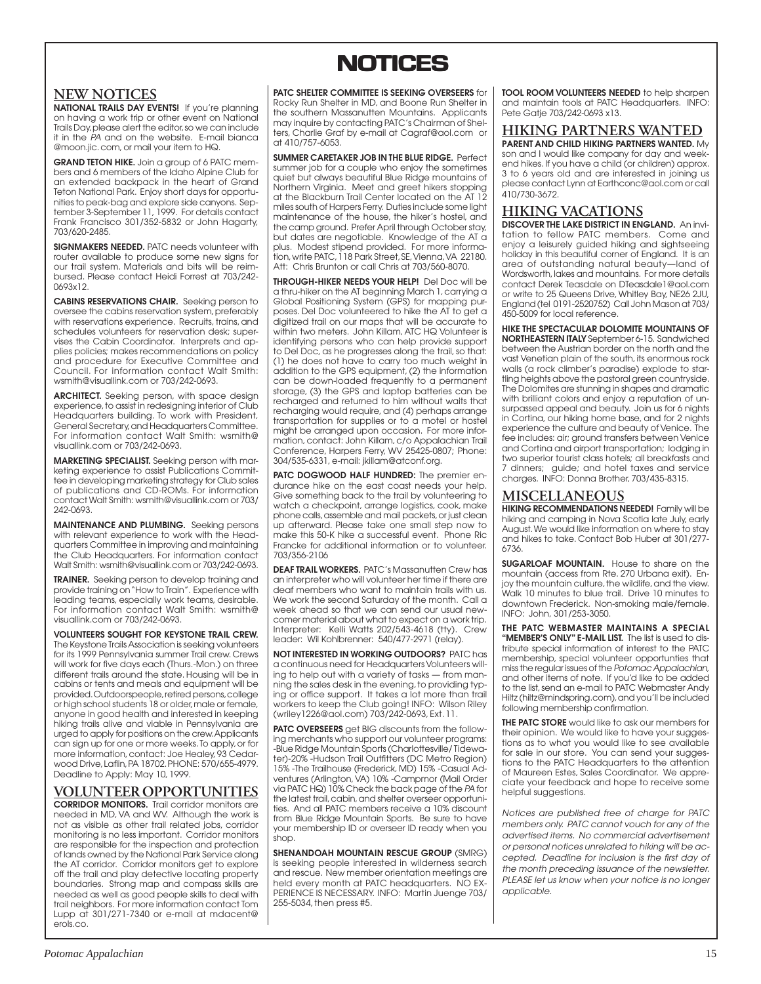## **NOTICES NOTICES**

## **NEW NOTICES**

**NATIONAL TRAILS DAY EVENTS!** If you're planning on having a work trip or other event on National Trails Day, please alert the editor, so we can include it in the PA and on the website. E-mail bianca @moon.jic. com, or mail your item to HQ.

**GRAND TETON HIKE.** Join a group of 6 PATC members and 6 members of the Idaho Alpine Club for an extended backpack in the heart of Grand Teton National Park. Enjoy short days for opportunities to peak-bag and explore side canyons. September 3-September 11, 1999. For details contact Frank Francisco 301/352-5832 or John Hagarty, 703/620-2485.

**SIGNMAKERS NEEDED.** PATC needs volunteer with router available to produce some new signs for our trail system. Materials and bits will be reimbursed. Please contact Heidi Forrest at 703/242- 0693x12.

**CABINS RESERVATIONS CHAIR.** Seeking person to oversee the cabins reservation system, preferably with reservations experience. Recruits, trains, and schedules volunteers for reservation desk; supervises the Cabin Coordinator. Interprets and applies policies; makes recommendations on policy and procedure for Executive Committee and Council. For information contact Walt Smith: wsmith@visuallink.com or 703/242-0693.

**ARCHITECT.** Seeking person, with space design experience, to assist in redesigning interior of Club Headquarters building. To work with President, General Secretary, and Headquarters Committee. For information contact Walt Smith: wsmith@ visuallink.com or 703/242-0693.

**MARKETING SPECIALIST.** Seeking person with marketing experience to assist Publications Committee in developing marketing strategy for Club sales of publications and CD-ROMs. For information contact Walt Smith: wsmith@visuallink.com or 703/ 242-0693.

**MAINTENANCE AND PLUMBING.** Seeking persons with relevant experience to work with the Headquarters Committee in improving and maintaining the Club Headquarters. For information contact Walt Smith: wsmith@visuallink.com or 703/242-0693.

**TRAINER.** Seeking person to develop training and provide training on "How to Train". Experience with leading teams, especially work teams, desirable. For information contact Walt Smith: wsmith@ visuallink.com or 703/242-0693.

**VOLUNTEERS SOUGHT FOR KEYSTONE TRAIL CREW.** The Keystone Trails Association is seeking volunteers for its 1999 Pennsylvania summer Trail crew. Crews will work for five days each (Thurs.-Mon.) on three different trails around the state. Housing will be in cabins or tents and meals and equipment will be provided. Outdoorspeople, retired persons, college or high school students 18 or older, male or female, anyone in good health and interested in keeping hiking trails alive and viable in Pennsylvania are urged to apply for positions on the crew. Applicants can sign up for one or more weeks. To apply, or for more information, contact: Joe Healey, 93 Cedarwood Drive, Laflin, PA 18702. PHONE: 570/655-4979. Deadline to Apply: May 10, 1999.

### **VOLUNTEER OPPORTUNITIES**

**CORRIDOR MONITORS.** Trail corridor monitors are needed in MD, VA and WV. Although the work is not as visible as other trail related jobs, corridor monitoring is no less important. Corridor monitors are responsible for the inspection and protection of lands owned by the National Park Service along the AT corridor. Corridor monitors get to explore off the trail and play detective locating property boundaries. Strong map and compass skills are needed as well as good people skills to deal with trail neighbors. For more information contact Tom Lupp at 301/271-7340 or e-mail at mdacent@ erols.co.

**PATC SHELTER COMMITTEE IS SEEKING OVERSEERS** for Rocky Run Shelter in MD, and Boone Run Shelter in the southern Massanutten Mountains. Applicants may inquire by contacting PATC's Chairman of Shelters, Charlie Graf by e-mail at Cagraf@aol.com or at 410/757-6053.

**SUMMER CARETAKER JOB IN THE BLUE RIDGE.** Perfect summer job for a couple who enjoy the sometimes quiet but always beautiful Blue Ridge mountains of Northern Virginia. Meet and greet hikers stopping at the Blackburn Trail Center located on the AT 12 miles south of Harpers Ferry. Duties include some light maintenance of the house, the hiker's hostel, and the camp ground. Prefer April through October stay, but dates are negotiable. Knowledge of the AT a plus. Modest stipend provided. For more information, write PATC, 118 Park Street, SE, Vienna, VA 22180. Att: Chris Brunton or call Chris at 703/560-8070.

**THROUGH-HIKER NEEDS YOUR HELP!** Del Doc will be a thru-hiker on the AT beginning March 1, carrying a Global Positioning System (GPS) for mapping purposes. Del Doc volunteered to hike the AT to get a digitized trail on our maps that will be accurate to within two meters. John Killam, ATC HQ Volunteer is identifying persons who can help provide support to Del Doc, as he progresses along the trail, so that: (1) he does not have to carry too much weight in addition to the GPS equipment, (2) the information can be down-loaded frequently to a permanent storage, (3) the GPS and laptop batteries can be recharged and returned to him without waits that recharging would require, and (4) perhaps arrange transportation for supplies or to a motel or hostel might be arranged upon occasion. For more information, contact: John Killam, c/o Appalachian Trail Conference, Harpers Ferry, WV 25425-0807; Phone: 304/535-6331, e-mail: jkillam@atconf.org.

PATC DOGWOOD HALF HUNDRED: The premier endurance hike on the east coast needs your help. Give something back to the trail by volunteering to watch a checkpoint, arrange logistics, cook, make phone calls, assemble and mail packets, or just clean up afterward. Please take one small step now to make this 50-K hike a successful event. Phone Ric Francke for additional information or to volunteer. 703/356-2106

**DEAF TRAIL WORKERS.** PATC's Massanutten Crew has an interpreter who will volunteer her time if there are deaf members who want to maintain trails with us. We work the second Saturday of the month. Call a week ahead so that we can send our usual newcomer material about what to expect on a work trip. Interpreter: Kelli Watts 202/543-4618 (tty). Crew leader: Wil Kohlbrenner: 540/477-2971 (relay).

**NOT INTERESTED IN WORKING OUTDOORS?** PATC has a continuous need for Headquarters Volunteers willing to help out with a variety of tasks — from manning the sales desk in the evening, to providing typing or office support. It takes a lot more than trail workers to keep the Club going! INFO: Wilson Riley (wriley1226@aol.com) 703/242-0693, Ext. 11.

**PATC OVERSEERS** get BIG discounts from the following merchants who support our volunteer programs: -Blue Ridge Mountain Sports (Charlottesville/ Tidewater)-20% -Hudson Trail Outfitters (DC Metro Region) 15% -The Trailhouse (Frederick, MD) 15% -Casual Adventures (Arlington, VA) 10% -Campmor (Mail Order via PATC HQ) 10% Check the back page of the PA for the latest trail, cabin, and shelter overseer opportunities. And all PATC members receive a 10% discount from Blue Ridge Mountain Sports. Be sure to have your membership ID or overseer ID ready when you shop.

**SHENANDOAH MOUNTAIN RESCUE GROUP** (SMRG) is seeking people interested in wilderness search and rescue. New member orientation meetings are held every month at PATC headquarters. NO EX-PERIENCE IS NECESSARY. INFO: Martin Juenge 703/ 255-5034, then press #5.

**TOOL ROOM VOLUNTEERS NEEDED** to help sharpen and maintain tools at PATC Headquarters. INFO: Pete Gatje 703/242-0693 x13.

**HIKING PARTNERS WANTED PARENT AND CHILD HIKING PARTNERS WANTED.** My

son and I would like company for day and weekend hikes. If you have a child (or children) approx. 3 to 6 years old and are interested in joining us please contact Lynn at Earthconc@aol.com or call 410/730-3672.

## **HIKING VACATIONS**

**DISCOVER THE LAKE DISTRICT IN ENGLAND.** An invitation to fellow PATC members. Come and enjoy a leisurely guided hiking and sightseeing holiday in this beautiful corner of England. It is an area of outstanding natural beauty—land of Wordsworth, lakes and mountains. For more details contact Derek Teasdale on DTeasdale1@aol.com or write to 25 Queens Drive, Whitley Bay, NE26 2JU, England (tel 0191-2520752) Call John Mason at 703/ 450-5009 for local reference.

**HIKE THE SPECTACULAR DOLOMITE MOUNTAINS OF NORTHEASTERN ITALY** September 6-15. Sandwiched between the Austrian border on the north and the vast Venetian plain of the south, its enormous rock walls (a rock climber's paradise) explode to startling heights above the pastoral green countryside. The Dolomites are stunning in shapes and dramatic with brilliant colors and enjoy a reputation of unsurpassed appeal and beauty. Join us for 6 nights in Cortina, our hiking home base, and for 2 nights experience the culture and beauty of Venice. The fee includes: air; ground transfers between Venice and Cortina and airport transportation; lodging in two superior tourist class hotels; all breakfasts and 7 dinners; guide; and hotel taxes and service charges. INFO: Donna Brother, 703/435-8315.

### **MISCELLANEOUS**

**HIKING RECOMMENDATIONS NEEDED!** Family will be hiking and camping in Nova Scotia late July, early August. We would like information on where to stay and hikes to take. Contact Bob Huber at 301/277- 6736.

**SUGARLOAF MOUNTAIN.** House to share on the mountain (access from Rte. 270 Urbana exit). Enjoy the mountain culture, the wildlife, and the view. Walk 10 minutes to blue trail. Drive 10 minutes to downtown Frederick. Non-smoking male/female. INFO: John, 301/253-3050.

**THE PATC WEBMASTER MAINTAINS A SPECIAL "MEMBER'S ONLY" E-MAIL LIST.** The list is used to distribute special information of interest to the PATC membership, special volunteer opportunties that miss the regular issues of the Potomac Appalachian, and other items of note. If you'd like to be added to the list, send an e-mail to PATC Webmaster Andy Hiltz (hiltz@mindspring.com), and you'll be included following membership confirmation.

**THE PATC STORE** would like to ask our members for their opinion. We would like to have your suggestions as to what you would like to see available for sale in our store. You can send your suggestions to the PATC Headquarters to the attention of Maureen Estes, Sales Coordinator. We appreciate your feedback and hope to receive some helpful suggestions.

Notices are published free of charge for PATC members only. PATC cannot vouch for any of the advertised items. No commercial advertisement or personal notices unrelated to hiking will be accepted. Deadline for inclusion is the first day of the month preceding issuance of the newsletter. PLEASE let us know when your notice is no longer applicable.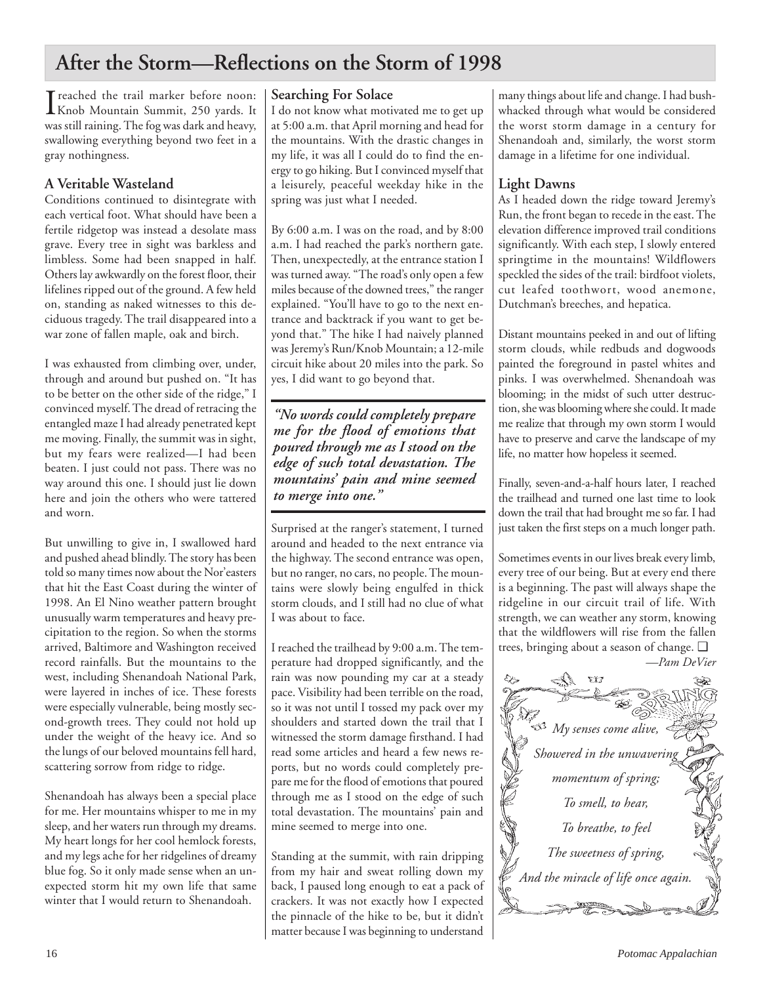## **After the Storm—Reflections on the Storm of 1998**

I reached the trail marker before noon:<br>
Knob Mountain Summit, 250 yards. It Knob Mountain Summit, 250 yards. It was still raining. The fog was dark and heavy, swallowing everything beyond two feet in a gray nothingness.

## **A Veritable Wasteland**

Conditions continued to disintegrate with each vertical foot. What should have been a fertile ridgetop was instead a desolate mass grave. Every tree in sight was barkless and limbless. Some had been snapped in half. Others lay awkwardly on the forest floor, their lifelines ripped out of the ground. A few held on, standing as naked witnesses to this deciduous tragedy. The trail disappeared into a war zone of fallen maple, oak and birch.

I was exhausted from climbing over, under, through and around but pushed on. "It has to be better on the other side of the ridge," I convinced myself. The dread of retracing the entangled maze I had already penetrated kept me moving. Finally, the summit was in sight, but my fears were realized—I had been beaten. I just could not pass. There was no way around this one. I should just lie down here and join the others who were tattered and worn.

But unwilling to give in, I swallowed hard and pushed ahead blindly. The story has been told so many times now about the Nor'easters that hit the East Coast during the winter of 1998. An El Nino weather pattern brought unusually warm temperatures and heavy precipitation to the region. So when the storms arrived, Baltimore and Washington received record rainfalls. But the mountains to the west, including Shenandoah National Park, were layered in inches of ice. These forests were especially vulnerable, being mostly second-growth trees. They could not hold up under the weight of the heavy ice. And so the lungs of our beloved mountains fell hard, scattering sorrow from ridge to ridge.

Shenandoah has always been a special place for me. Her mountains whisper to me in my sleep, and her waters run through my dreams. My heart longs for her cool hemlock forests, and my legs ache for her ridgelines of dreamy blue fog. So it only made sense when an unexpected storm hit my own life that same winter that I would return to Shenandoah.

## **Searching For Solace**

I do not know what motivated me to get up at 5:00 a.m. that April morning and head for the mountains. With the drastic changes in my life, it was all I could do to find the energy to go hiking. But I convinced myself that a leisurely, peaceful weekday hike in the spring was just what I needed.

By 6:00 a.m. I was on the road, and by 8:00 a.m. I had reached the park's northern gate. Then, unexpectedly, at the entrance station I was turned away. "The road's only open a few miles because of the downed trees," the ranger explained. "You'll have to go to the next entrance and backtrack if you want to get beyond that." The hike I had naively planned was Jeremy's Run/Knob Mountain; a 12-mile circuit hike about 20 miles into the park. So yes, I did want to go beyond that.

*"No words could completely prepare me for the flood of emotions that poured through me as I stood on the edge of such total devastation. The mountains' pain and mine seemed to merge into one."*

Surprised at the ranger's statement, I turned around and headed to the next entrance via the highway. The second entrance was open, but no ranger, no cars, no people. The mountains were slowly being engulfed in thick storm clouds, and I still had no clue of what I was about to face.

I reached the trailhead by 9:00 a.m. The temperature had dropped significantly, and the rain was now pounding my car at a steady pace. Visibility had been terrible on the road, so it was not until I tossed my pack over my shoulders and started down the trail that I witnessed the storm damage firsthand. I had read some articles and heard a few news reports, but no words could completely prepare me for the flood of emotions that poured through me as I stood on the edge of such total devastation. The mountains' pain and mine seemed to merge into one.

Standing at the summit, with rain dripping from my hair and sweat rolling down my back, I paused long enough to eat a pack of crackers. It was not exactly how I expected the pinnacle of the hike to be, but it didn't matter because I was beginning to understand

many things about life and change. I had bushwhacked through what would be considered the worst storm damage in a century for Shenandoah and, similarly, the worst storm damage in a lifetime for one individual.

## **Light Dawns**

As I headed down the ridge toward Jeremy's Run, the front began to recede in the east. The elevation difference improved trail conditions significantly. With each step, I slowly entered springtime in the mountains! Wildflowers speckled the sides of the trail: birdfoot violets, cut leafed toothwort, wood anemone, Dutchman's breeches, and hepatica.

Distant mountains peeked in and out of lifting storm clouds, while redbuds and dogwoods painted the foreground in pastel whites and pinks. I was overwhelmed. Shenandoah was blooming; in the midst of such utter destruction, she was blooming where she could. It made me realize that through my own storm I would have to preserve and carve the landscape of my life, no matter how hopeless it seemed.

Finally, seven-and-a-half hours later, I reached the trailhead and turned one last time to look down the trail that had brought me so far. I had just taken the first steps on a much longer path.

Sometimes events in our lives break every limb, every tree of our being. But at every end there is a beginning. The past will always shape the ridgeline in our circuit trail of life. With strength, we can weather any storm, knowing that the wildflowers will rise from the fallen trees, bringing about a season of change. ❑

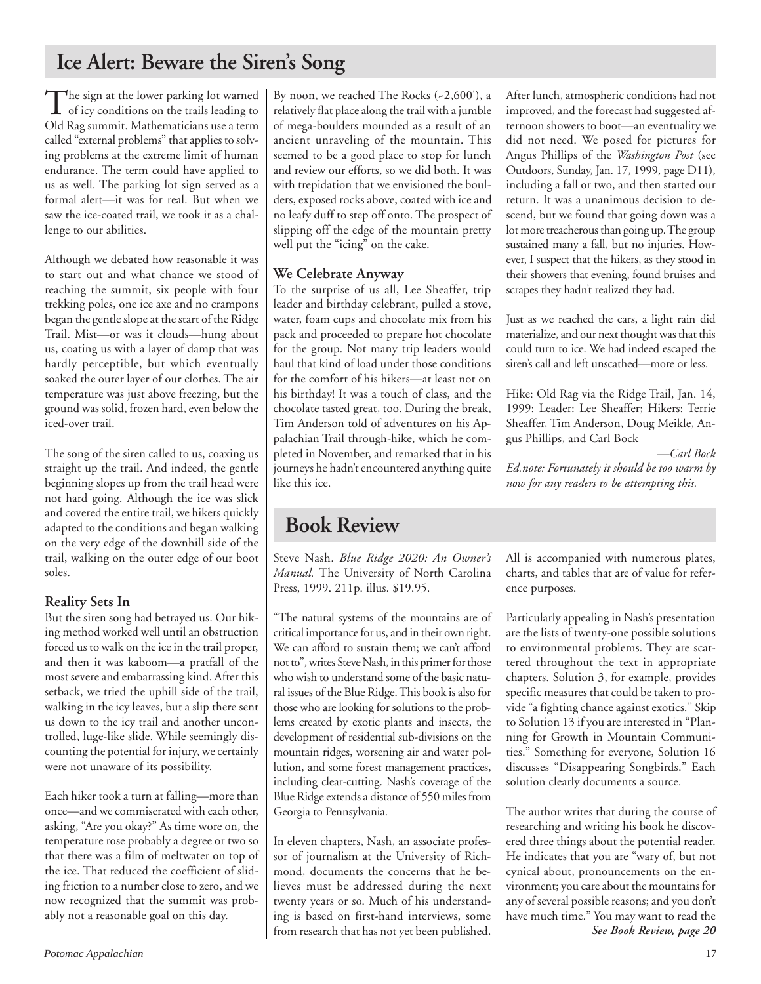## **Ice Alert: Beware the Siren's Song**

The sign at the lower parking lot warned<br>of icy conditions on the trails leading to Old Rag summit. Mathematicians use a term called "external problems" that applies to solving problems at the extreme limit of human endurance. The term could have applied to us as well. The parking lot sign served as a formal alert—it was for real. But when we saw the ice-coated trail, we took it as a challenge to our abilities.

Although we debated how reasonable it was to start out and what chance we stood of reaching the summit, six people with four trekking poles, one ice axe and no crampons began the gentle slope at the start of the Ridge Trail. Mist—or was it clouds—hung about us, coating us with a layer of damp that was hardly perceptible, but which eventually soaked the outer layer of our clothes. The air temperature was just above freezing, but the ground was solid, frozen hard, even below the iced-over trail.

The song of the siren called to us, coaxing us straight up the trail. And indeed, the gentle beginning slopes up from the trail head were not hard going. Although the ice was slick and covered the entire trail, we hikers quickly adapted to the conditions and began walking on the very edge of the downhill side of the trail, walking on the outer edge of our boot soles.

## **Reality Sets In**

But the siren song had betrayed us. Our hiking method worked well until an obstruction forced us to walk on the ice in the trail proper, and then it was kaboom—a pratfall of the most severe and embarrassing kind. After this setback, we tried the uphill side of the trail, walking in the icy leaves, but a slip there sent us down to the icy trail and another uncontrolled, luge-like slide. While seemingly discounting the potential for injury, we certainly were not unaware of its possibility.

Each hiker took a turn at falling—more than once—and we commiserated with each other, asking, "Are you okay?" As time wore on, the temperature rose probably a degree or two so that there was a film of meltwater on top of the ice. That reduced the coefficient of sliding friction to a number close to zero, and we now recognized that the summit was probably not a reasonable goal on this day.

By noon, we reached The Rocks (~2,600'), a relatively flat place along the trail with a jumble of mega-boulders mounded as a result of an ancient unraveling of the mountain. This seemed to be a good place to stop for lunch and review our efforts, so we did both. It was with trepidation that we envisioned the boulders, exposed rocks above, coated with ice and no leafy duff to step off onto. The prospect of slipping off the edge of the mountain pretty well put the "icing" on the cake.

## **We Celebrate Anyway**

To the surprise of us all, Lee Sheaffer, trip leader and birthday celebrant, pulled a stove, water, foam cups and chocolate mix from his pack and proceeded to prepare hot chocolate for the group. Not many trip leaders would haul that kind of load under those conditions for the comfort of his hikers—at least not on his birthday! It was a touch of class, and the chocolate tasted great, too. During the break, Tim Anderson told of adventures on his Appalachian Trail through-hike, which he completed in November, and remarked that in his journeys he hadn't encountered anything quite like this ice.

## **Book Review**

Steve Nash. *Blue Ridge 2020: An Owner's Manual.* The University of North Carolina Press, 1999. 211p. illus. \$19.95.

"The natural systems of the mountains are of critical importance for us, and in their own right. We can afford to sustain them; we can't afford not to", writes Steve Nash, in this primer for those who wish to understand some of the basic natural issues of the Blue Ridge. This book is also for those who are looking for solutions to the problems created by exotic plants and insects, the development of residential sub-divisions on the mountain ridges, worsening air and water pollution, and some forest management practices, including clear-cutting. Nash's coverage of the Blue Ridge extends a distance of 550 miles from Georgia to Pennsylvania.

In eleven chapters, Nash, an associate professor of journalism at the University of Richmond, documents the concerns that he believes must be addressed during the next twenty years or so. Much of his understanding is based on first-hand interviews, some from research that has not yet been published. After lunch, atmospheric conditions had not improved, and the forecast had suggested afternoon showers to boot—an eventuality we did not need. We posed for pictures for Angus Phillips of the *Washington Post* (see Outdoors, Sunday, Jan. 17, 1999, page D11), including a fall or two, and then started our return. It was a unanimous decision to descend, but we found that going down was a lot more treacherous than going up. The group sustained many a fall, but no injuries. However, I suspect that the hikers, as they stood in their showers that evening, found bruises and scrapes they hadn't realized they had.

Just as we reached the cars, a light rain did materialize, and our next thought was that this could turn to ice. We had indeed escaped the siren's call and left unscathed—more or less.

Hike: Old Rag via the Ridge Trail, Jan. 14, 1999: Leader: Lee Sheaffer; Hikers: Terrie Sheaffer, Tim Anderson, Doug Meikle, Angus Phillips, and Carl Bock

*—Carl Bock Ed.note: Fortunately it should be too warm by now for any readers to be attempting this.*

All is accompanied with numerous plates, charts, and tables that are of value for reference purposes.

Particularly appealing in Nash's presentation are the lists of twenty-one possible solutions to environmental problems. They are scattered throughout the text in appropriate chapters. Solution 3, for example, provides specific measures that could be taken to provide "a fighting chance against exotics." Skip to Solution 13 if you are interested in "Planning for Growth in Mountain Communities." Something for everyone, Solution 16 discusses "Disappearing Songbirds." Each solution clearly documents a source.

The author writes that during the course of researching and writing his book he discovered three things about the potential reader. He indicates that you are "wary of, but not cynical about, pronouncements on the environment; you care about the mountains for any of several possible reasons; and you don't have much time." You may want to read the *See Book Review, page 20*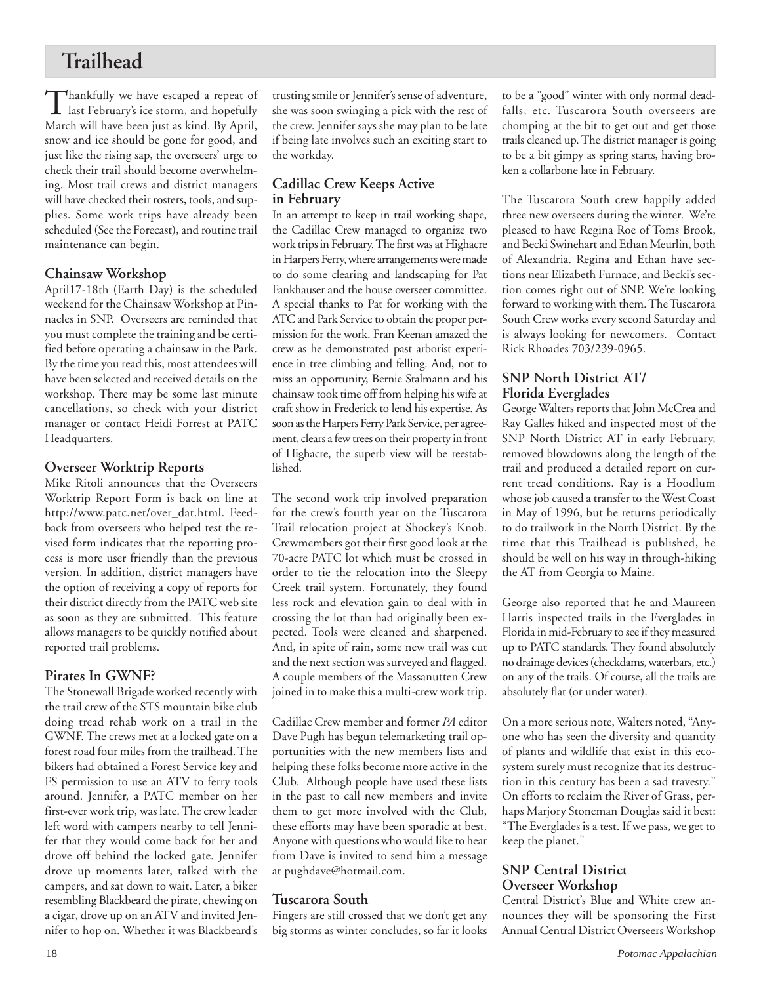## **Trailhead**

Thankfully we have escaped a repeat of<br>last February's ice storm, and hopefully March will have been just as kind. By April, snow and ice should be gone for good, and just like the rising sap, the overseers' urge to check their trail should become overwhelming. Most trail crews and district managers will have checked their rosters, tools, and supplies. Some work trips have already been scheduled (See the Forecast), and routine trail maintenance can begin.

## **Chainsaw Workshop**

April17-18th (Earth Day) is the scheduled weekend for the Chainsaw Workshop at Pinnacles in SNP. Overseers are reminded that you must complete the training and be certified before operating a chainsaw in the Park. By the time you read this, most attendees will have been selected and received details on the workshop. There may be some last minute cancellations, so check with your district manager or contact Heidi Forrest at PATC Headquarters.

## **Overseer Worktrip Reports**

Mike Ritoli announces that the Overseers Worktrip Report Form is back on line at http://www.patc.net/over\_dat.html. Feedback from overseers who helped test the revised form indicates that the reporting process is more user friendly than the previous version. In addition, district managers have the option of receiving a copy of reports for their district directly from the PATC web site as soon as they are submitted. This feature allows managers to be quickly notified about reported trail problems.

## **Pirates In GWNF?**

The Stonewall Brigade worked recently with the trail crew of the STS mountain bike club doing tread rehab work on a trail in the GWNF. The crews met at a locked gate on a forest road four miles from the trailhead. The bikers had obtained a Forest Service key and FS permission to use an ATV to ferry tools around. Jennifer, a PATC member on her first-ever work trip, was late. The crew leader left word with campers nearby to tell Jennifer that they would come back for her and drove off behind the locked gate. Jennifer drove up moments later, talked with the campers, and sat down to wait. Later, a biker resembling Blackbeard the pirate, chewing on a cigar, drove up on an ATV and invited Jennifer to hop on. Whether it was Blackbeard's trusting smile or Jennifer's sense of adventure, she was soon swinging a pick with the rest of the crew. Jennifer says she may plan to be late if being late involves such an exciting start to the workday.

## **Cadillac Crew Keeps Active in February**

In an attempt to keep in trail working shape, the Cadillac Crew managed to organize two work trips in February. The first was at Highacre in Harpers Ferry, where arrangements were made to do some clearing and landscaping for Pat Fankhauser and the house overseer committee. A special thanks to Pat for working with the ATC and Park Service to obtain the proper permission for the work. Fran Keenan amazed the crew as he demonstrated past arborist experience in tree climbing and felling. And, not to miss an opportunity, Bernie Stalmann and his chainsaw took time off from helping his wife at craft show in Frederick to lend his expertise. As soon as the Harpers Ferry Park Service, per agreement, clears a few trees on their property in front of Highacre, the superb view will be reestablished.

The second work trip involved preparation for the crew's fourth year on the Tuscarora Trail relocation project at Shockey's Knob. Crewmembers got their first good look at the 70-acre PATC lot which must be crossed in order to tie the relocation into the Sleepy Creek trail system. Fortunately, they found less rock and elevation gain to deal with in crossing the lot than had originally been expected. Tools were cleaned and sharpened. And, in spite of rain, some new trail was cut and the next section was surveyed and flagged. A couple members of the Massanutten Crew joined in to make this a multi-crew work trip.

Cadillac Crew member and former *PA* editor Dave Pugh has begun telemarketing trail opportunities with the new members lists and helping these folks become more active in the Club. Although people have used these lists in the past to call new members and invite them to get more involved with the Club, these efforts may have been sporadic at best. Anyone with questions who would like to hear from Dave is invited to send him a message at pughdave@hotmail.com.

## **Tuscarora South**

Fingers are still crossed that we don't get any big storms as winter concludes, so far it looks to be a "good" winter with only normal deadfalls, etc. Tuscarora South overseers are chomping at the bit to get out and get those trails cleaned up. The district manager is going to be a bit gimpy as spring starts, having broken a collarbone late in February.

The Tuscarora South crew happily added three new overseers during the winter. We're pleased to have Regina Roe of Toms Brook, and Becki Swinehart and Ethan Meurlin, both of Alexandria. Regina and Ethan have sections near Elizabeth Furnace, and Becki's section comes right out of SNP. We're looking forward to working with them. The Tuscarora South Crew works every second Saturday and is always looking for newcomers. Contact Rick Rhoades 703/239-0965.

## **SNP North District AT/ Florida Everglades**

George Walters reports that John McCrea and Ray Galles hiked and inspected most of the SNP North District AT in early February, removed blowdowns along the length of the trail and produced a detailed report on current tread conditions. Ray is a Hoodlum whose job caused a transfer to the West Coast in May of 1996, but he returns periodically to do trailwork in the North District. By the time that this Trailhead is published, he should be well on his way in through-hiking the AT from Georgia to Maine.

George also reported that he and Maureen Harris inspected trails in the Everglades in Florida in mid-February to see if they measured up to PATC standards. They found absolutely no drainage devices (checkdams, waterbars, etc.) on any of the trails. Of course, all the trails are absolutely flat (or under water).

On a more serious note, Walters noted, "Anyone who has seen the diversity and quantity of plants and wildlife that exist in this ecosystem surely must recognize that its destruction in this century has been a sad travesty." On efforts to reclaim the River of Grass, perhaps Marjory Stoneman Douglas said it best: "The Everglades is a test. If we pass, we get to keep the planet."

### **SNP Central District Overseer Workshop**

Central District's Blue and White crew announces they will be sponsoring the First Annual Central District Overseers Workshop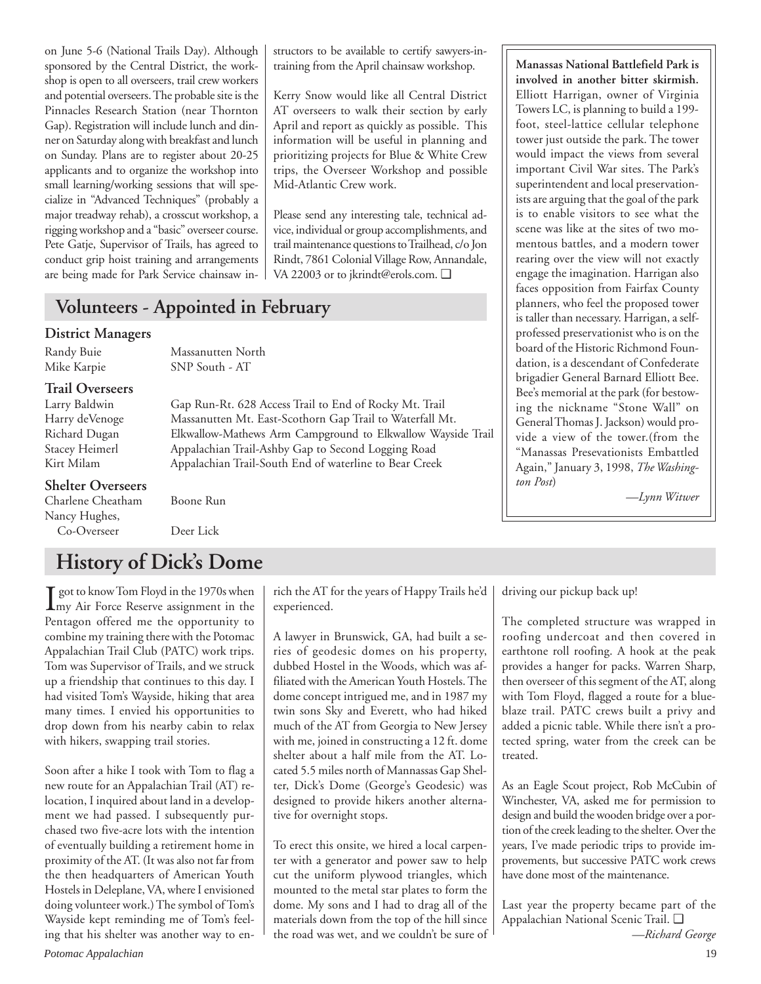on June 5-6 (National Trails Day). Although sponsored by the Central District, the workshop is open to all overseers, trail crew workers and potential overseers. The probable site is the Pinnacles Research Station (near Thornton Gap). Registration will include lunch and dinner on Saturday along with breakfast and lunch on Sunday. Plans are to register about 20-25 applicants and to organize the workshop into small learning/working sessions that will specialize in "Advanced Techniques" (probably a major treadway rehab), a crosscut workshop, a rigging workshop and a "basic" overseer course. Pete Gatje, Supervisor of Trails, has agreed to conduct grip hoist training and arrangements are being made for Park Service chainsaw in-

### structors to be available to certify sawyers-intraining from the April chainsaw workshop.

Kerry Snow would like all Central District AT overseers to walk their section by early April and report as quickly as possible. This information will be useful in planning and prioritizing projects for Blue & White Crew trips, the Overseer Workshop and possible Mid-Atlantic Crew work.

Please send any interesting tale, technical advice, individual or group accomplishments, and trail maintenance questions to Trailhead, c/o Jon Rindt, 7861 Colonial Village Row, Annandale, VA 22003 or to jkrindt@erols.com. ❑

Gap Run-Rt. 628 Access Trail to End of Rocky Mt. Trail

## **Volunteers - Appointed in February**

### **District Managers**

Randy Buie Massanutten North Mike Karpie SNP South - AT

## **Trail Overseers**

Harry deVenoge Massanutten Mt. East-Scothorn Gap Trail to Waterfall Mt. Richard Dugan Elkwallow-Mathews Arm Campground to Elkwallow Wayside Trail Stacey Heimerl Appalachian Trail-Ashby Gap to Second Logging Road Kirt Milam Appalachian Trail-South End of waterline to Bear Creek

### **Shelter Overseers**

| Charlene Cheatham |  |
|-------------------|--|
| Nancy Hughes,     |  |
| Co-Overseer       |  |

Deer Lick

Boone Run

## **History of Dick's Dome**

**I** got to know Tom Floyd in the 1970s when<br>
my Air Force Reserve assignment in the my Air Force Reserve assignment in the Pentagon offered me the opportunity to combine my training there with the Potomac Appalachian Trail Club (PATC) work trips. Tom was Supervisor of Trails, and we struck up a friendship that continues to this day. I had visited Tom's Wayside, hiking that area many times. I envied his opportunities to drop down from his nearby cabin to relax with hikers, swapping trail stories.

Soon after a hike I took with Tom to flag a new route for an Appalachian Trail (AT) relocation, I inquired about land in a development we had passed. I subsequently purchased two five-acre lots with the intention of eventually building a retirement home in proximity of the AT. (It was also not far from the then headquarters of American Youth Hostels in Deleplane, VA, where I envisioned doing volunteer work.) The symbol of Tom's Wayside kept reminding me of Tom's feeling that his shelter was another way to en-

rich the AT for the years of Happy Trails he'd experienced.

A lawyer in Brunswick, GA, had built a series of geodesic domes on his property, dubbed Hostel in the Woods, which was affiliated with the American Youth Hostels. The dome concept intrigued me, and in 1987 my twin sons Sky and Everett, who had hiked much of the AT from Georgia to New Jersey with me, joined in constructing a 12 ft. dome shelter about a half mile from the AT. Located 5.5 miles north of Mannassas Gap Shelter, Dick's Dome (George's Geodesic) was designed to provide hikers another alternative for overnight stops.

To erect this onsite, we hired a local carpenter with a generator and power saw to help cut the uniform plywood triangles, which mounted to the metal star plates to form the dome. My sons and I had to drag all of the materials down from the top of the hill since the road was wet, and we couldn't be sure of **Manassas National Battlefield Park is involved in another bitter skirmish.** Elliott Harrigan, owner of Virginia Towers LC, is planning to build a 199 foot, steel-lattice cellular telephone tower just outside the park. The tower would impact the views from several important Civil War sites. The Park's superintendent and local preservationists are arguing that the goal of the park is to enable visitors to see what the scene was like at the sites of two momentous battles, and a modern tower rearing over the view will not exactly engage the imagination. Harrigan also faces opposition from Fairfax County planners, who feel the proposed tower is taller than necessary. Harrigan, a selfprofessed preservationist who is on the board of the Historic Richmond Foundation, is a descendant of Confederate brigadier General Barnard Elliott Bee. Bee's memorial at the park (for bestowing the nickname "Stone Wall" on General Thomas J. Jackson) would provide a view of the tower.(from the "Manassas Presevationists Embattled Again," January 3, 1998, *The Washington Post*)

*—Lynn Witwer*

driving our pickup back up!

The completed structure was wrapped in roofing undercoat and then covered in earthtone roll roofing. A hook at the peak provides a hanger for packs. Warren Sharp, then overseer of this segment of the AT, along with Tom Floyd, flagged a route for a blueblaze trail. PATC crews built a privy and added a picnic table. While there isn't a protected spring, water from the creek can be treated.

As an Eagle Scout project, Rob McCubin of Winchester, VA, asked me for permission to design and build the wooden bridge over a portion of the creek leading to the shelter. Over the years, I've made periodic trips to provide improvements, but successive PATC work crews have done most of the maintenance.

Last year the property became part of the Appalachian National Scenic Trail. ❑

*—Richard George*